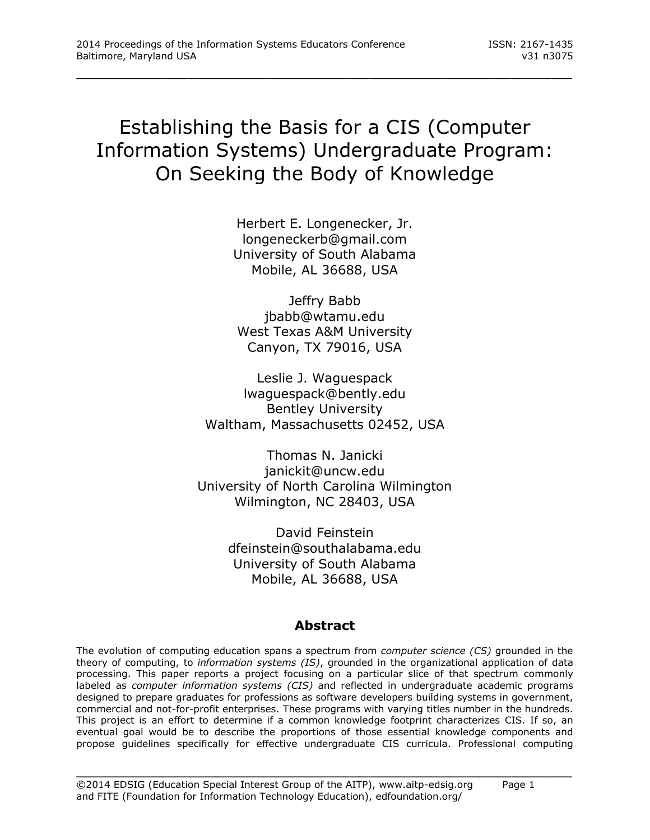# Establishing the Basis for a CIS (Computer Information Systems) Undergraduate Program: On Seeking the Body of Knowledge

\_\_\_\_\_\_\_\_\_\_\_\_\_\_\_\_\_\_\_\_\_\_\_\_\_\_\_\_\_\_\_\_\_\_\_\_\_\_\_\_\_\_\_\_\_\_\_\_\_

Herbert E. Longenecker, Jr. [longeneckerb@gmail.com](mailto:longeneckerb@gmail.com) University of South Alabama Mobile, AL 36688, USA

Jeffry Babb [jbabb@wtamu.edu](mailto:jbabb@wtamu.edu) West Texas A&M University Canyon, TX 79016, USA

Leslie J. Waguespack [lwaguespack@bently.edu](mailto:lwaguespack@bently.edu) Bentley University Waltham, Massachusetts 02452, USA

Thomas N. Janicki [janickit@uncw.edu](mailto:janickit@uncw.edu) University of North Carolina Wilmington Wilmington, NC 28403, USA

> David Feinstein [dfeinstein@southalabama.edu](mailto:dfeinstein@southalabama.edu) University of South Alabama Mobile, AL 36688, USA

### **Abstract**

The evolution of computing education spans a spectrum from *computer science (CS)* grounded in the theory of computing, to *information systems (IS)*, grounded in the organizational application of data processing. This paper reports a project focusing on a particular slice of that spectrum commonly labeled as *computer information systems (CIS)* and reflected in undergraduate academic programs designed to prepare graduates for professions as software developers building systems in government, commercial and not-for-profit enterprises. These programs with varying titles number in the hundreds. This project is an effort to determine if a common knowledge footprint characterizes CIS. If so, an eventual goal would be to describe the proportions of those essential knowledge components and propose guidelines specifically for effective undergraduate CIS curricula. Professional computing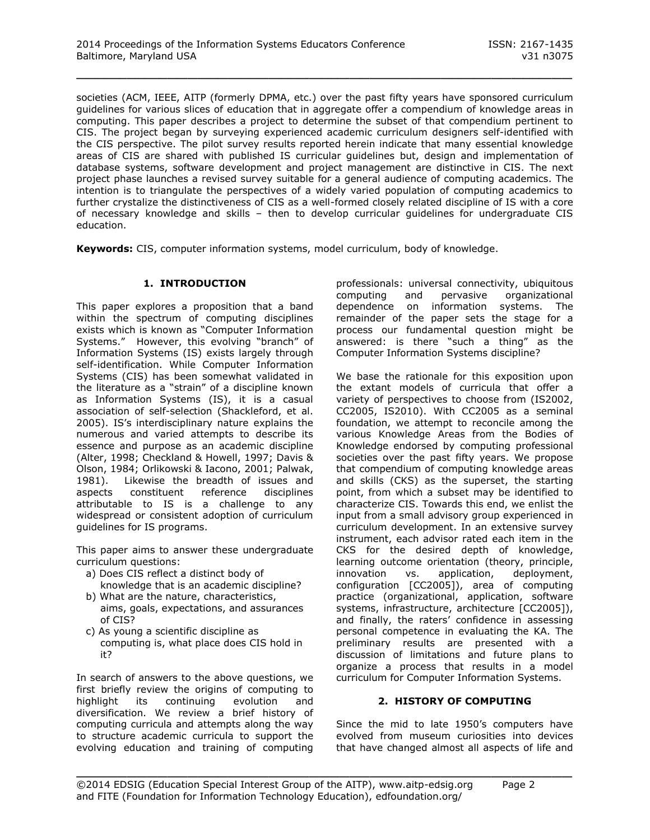societies (ACM, IEEE, AITP (formerly DPMA, etc.) over the past fifty years have sponsored curriculum guidelines for various slices of education that in aggregate offer a compendium of knowledge areas in computing. This paper describes a project to determine the subset of that compendium pertinent to CIS. The project began by surveying experienced academic curriculum designers self-identified with the CIS perspective. The pilot survey results reported herein indicate that many essential knowledge areas of CIS are shared with published IS curricular guidelines but, design and implementation of database systems, software development and project management are distinctive in CIS. The next project phase launches a revised survey suitable for a general audience of computing academics. The intention is to triangulate the perspectives of a widely varied population of computing academics to further crystalize the distinctiveness of CIS as a well-formed closely related discipline of IS with a core of necessary knowledge and skills – then to develop curricular guidelines for undergraduate CIS education.

\_\_\_\_\_\_\_\_\_\_\_\_\_\_\_\_\_\_\_\_\_\_\_\_\_\_\_\_\_\_\_\_\_\_\_\_\_\_\_\_\_\_\_\_\_\_\_\_\_

**Keywords:** CIS, computer information systems, model curriculum, body of knowledge.

#### **1. INTRODUCTION**

This paper explores a proposition that a band within the spectrum of computing disciplines exists which is known as "Computer Information Systems." However, this evolving "branch" of Information Systems (IS) exists largely through self-identification. While Computer Information Systems (CIS) has been somewhat validated in the literature as a "strain" of a discipline known as Information Systems (IS), it is a casual association of self-selection (Shackleford, et al. 2005). IS's interdisciplinary nature explains the numerous and varied attempts to describe its essence and purpose as an academic discipline (Alter, 1998; Checkland & Howell, 1997; Davis & Olson, 1984; Orlikowski & Iacono, 2001; Palwak, 1981). Likewise the breadth of issues and aspects constituent reference disciplines attributable to IS is a challenge to any widespread or consistent adoption of curriculum guidelines for IS programs.

This paper aims to answer these undergraduate curriculum questions:

- a) Does CIS reflect a distinct body of
- knowledge that is an academic discipline? b) What are the nature, characteristics,
- aims, goals, expectations, and assurances of CIS?
- c) As young a scientific discipline as computing is, what place does CIS hold in it?

In search of answers to the above questions, we first briefly review the origins of computing to highlight its continuing evolution and diversification. We review a brief history of computing curricula and attempts along the way to structure academic curricula to support the evolving education and training of computing professionals: universal connectivity, ubiquitous computing and pervasive organizational dependence on information systems. The remainder of the paper sets the stage for a process our fundamental question might be answered: is there "such a thing" as the Computer Information Systems discipline?

We base the rationale for this exposition upon the extant models of curricula that offer a variety of perspectives to choose from (IS2002, CC2005, IS2010). With CC2005 as a seminal foundation, we attempt to reconcile among the various Knowledge Areas from the Bodies of Knowledge endorsed by computing professional societies over the past fifty years. We propose that compendium of computing knowledge areas and skills (CKS) as the superset, the starting point, from which a subset may be identified to characterize CIS. Towards this end, we enlist the input from a small advisory group experienced in curriculum development. In an extensive survey instrument, each advisor rated each item in the CKS for the desired depth of knowledge, learning outcome orientation (theory, principle, innovation vs. application, deployment, configuration [CC2005]), area of computing practice (organizational, application, software systems, infrastructure, architecture [CC2005]), and finally, the raters' confidence in assessing personal competence in evaluating the KA. The preliminary results are presented with a discussion of limitations and future plans to organize a process that results in a model curriculum for Computer Information Systems.

#### **2. HISTORY OF COMPUTING**

Since the mid to late 1950's computers have evolved from museum curiosities into devices that have changed almost all aspects of life and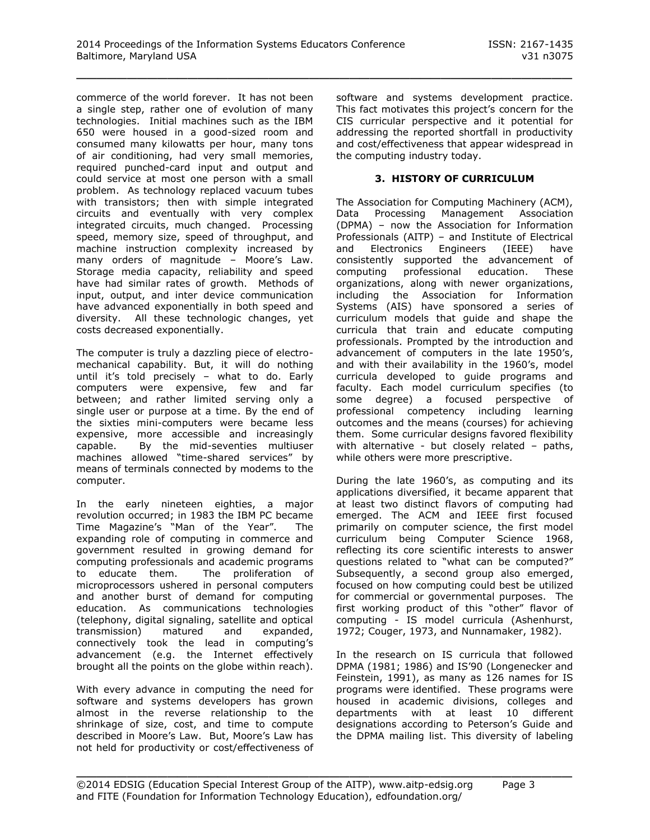commerce of the world forever. It has not been a single step, rather one of evolution of many technologies. Initial machines such as the IBM 650 were housed in a good-sized room and consumed many kilowatts per hour, many tons of air conditioning, had very small memories, required punched-card input and output and could service at most one person with a small problem. As technology replaced vacuum tubes with transistors; then with simple integrated circuits and eventually with very complex integrated circuits, much changed. Processing speed, memory size, speed of throughput, and machine instruction complexity increased by many orders of magnitude – Moore's Law. Storage media capacity, reliability and speed have had similar rates of growth. Methods of input, output, and inter device communication have advanced exponentially in both speed and diversity. All these technologic changes, yet costs decreased exponentially.

The computer is truly a dazzling piece of electromechanical capability. But, it will do nothing until it's told precisely – what to do. Early computers were expensive, few and far between; and rather limited serving only a single user or purpose at a time. By the end of the sixties mini-computers were became less expensive, more accessible and increasingly capable. By the mid-seventies multiuser machines allowed "time-shared services" by means of terminals connected by modems to the computer.

In the early nineteen eighties, a major revolution occurred; in 1983 the IBM PC became Time Magazine's "Man of the Year". The expanding role of computing in commerce and government resulted in growing demand for computing professionals and academic programs to educate them. The proliferation of microprocessors ushered in personal computers and another burst of demand for computing education. As communications technologies (telephony, digital signaling, satellite and optical transmission) matured and expanded, connectively took the lead in computing's advancement (e.g. the Internet effectively brought all the points on the globe within reach).

With every advance in computing the need for software and systems developers has grown almost in the reverse relationship to the shrinkage of size, cost, and time to compute described in Moore's Law. But, Moore's Law has not held for productivity or cost/effectiveness of software and systems development practice. This fact motivates this project's concern for the CIS curricular perspective and it potential for addressing the reported shortfall in productivity and cost/effectiveness that appear widespread in the computing industry today.

#### **3. HISTORY OF CURRICULUM**

The Association for Computing Machinery (ACM), Data Processing Management Association (DPMA) – now the Association for Information Professionals (AITP) – and Institute of Electrical and Electronics Engineers (IEEE) have consistently supported the advancement of computing professional education. These organizations, along with newer organizations, including the Association for Information Systems (AIS) have sponsored a series of curriculum models that guide and shape the curricula that train and educate computing professionals. Prompted by the introduction and advancement of computers in the late 1950's, and with their availability in the 1960's, model curricula developed to guide programs and faculty. Each model curriculum specifies (to some degree) a focused perspective of professional competency including learning outcomes and the means (courses) for achieving them. Some curricular designs favored flexibility with alternative - but closely related - paths, while others were more prescriptive.

During the late 1960's, as computing and its applications diversified, it became apparent that at least two distinct flavors of computing had emerged. The ACM and IEEE first focused primarily on computer science, the first model curriculum being Computer Science 1968, reflecting its core scientific interests to answer questions related to "what can be computed?" Subsequently, a second group also emerged, focused on how computing could best be utilized for commercial or governmental purposes. The first working product of this "other" flavor of computing - IS model curricula (Ashenhurst, 1972; Couger, 1973, and Nunnamaker, 1982).

In the research on IS curricula that followed DPMA (1981; 1986) and IS'90 (Longenecker and Feinstein, 1991), as many as 126 names for IS programs were identified. These programs were housed in academic divisions, colleges and departments with at least 10 different designations according to Peterson's Guide and the DPMA mailing list. This diversity of labeling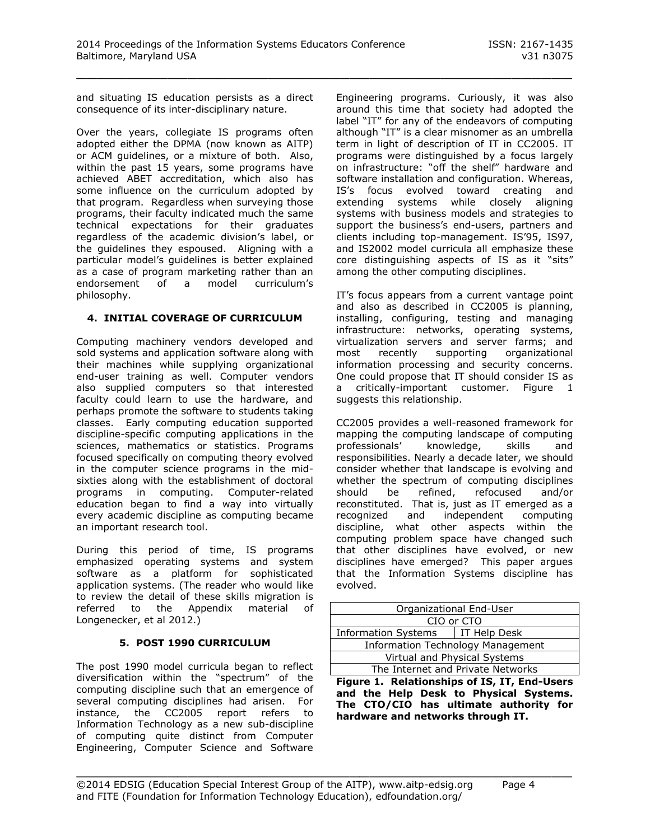and situating IS education persists as a direct consequence of its inter-disciplinary nature.

Over the years, collegiate IS programs often adopted either the DPMA (now known as AITP) or ACM guidelines, or a mixture of both. Also, within the past 15 years, some programs have achieved ABET accreditation, which also has some influence on the curriculum adopted by that program. Regardless when surveying those programs, their faculty indicated much the same technical expectations for their graduates regardless of the academic division's label, or the guidelines they espoused. Aligning with a particular model's guidelines is better explained as a case of program marketing rather than an endorsement of a model curriculum's philosophy.

#### **4. INITIAL COVERAGE OF CURRICULUM**

Computing machinery vendors developed and sold systems and application software along with their machines while supplying organizational end-user training as well. Computer vendors also supplied computers so that interested faculty could learn to use the hardware, and perhaps promote the software to students taking classes. Early computing education supported discipline-specific computing applications in the sciences, mathematics or statistics. Programs focused specifically on computing theory evolved in the computer science programs in the midsixties along with the establishment of doctoral programs in computing. Computer-related education began to find a way into virtually every academic discipline as computing became an important research tool.

During this period of time, IS programs emphasized operating systems and system software as a platform for sophisticated application systems. (The reader who would like to review the detail of these skills migration is referred to the Appendix material of Longenecker, et al 2012.)

#### **5. POST 1990 CURRICULUM**

The post 1990 model curricula began to reflect diversification within the "spectrum" of the computing discipline such that an emergence of several computing disciplines had arisen. For instance, the CC2005 report refers to Information Technology as a new sub-discipline of computing quite distinct from Computer Engineering, Computer Science and Software Engineering programs. Curiously, it was also around this time that society had adopted the label "IT" for any of the endeavors of computing although "IT" is a clear misnomer as an umbrella term in light of description of IT in CC2005. IT programs were distinguished by a focus largely on infrastructure: "off the shelf" hardware and software installation and configuration. Whereas, IS's focus evolved toward creating and extending systems while closely aligning systems with business models and strategies to support the business's end-users, partners and clients including top-management. IS'95, IS97, and IS2002 model curricula all emphasize these core distinguishing aspects of IS as it "sits" among the other computing disciplines.

IT's focus appears from a current vantage point and also as described in CC2005 is planning, installing, configuring, testing and managing infrastructure: networks, operating systems, virtualization servers and server farms; and most recently supporting organizational information processing and security concerns. One could propose that IT should consider IS as a critically-important customer. Figure 1 suggests this relationship.

CC2005 provides a well-reasoned framework for mapping the computing landscape of computing professionals' knowledge, skills and responsibilities. Nearly a decade later, we should consider whether that landscape is evolving and whether the spectrum of computing disciplines should be refined, refocused and/or reconstituted. That is, just as IT emerged as a recognized and independent computing discipline, what other aspects within the computing problem space have changed such that other disciplines have evolved, or new disciplines have emerged? This paper argues that the Information Systems discipline has evolved.

| Organizational End-User                    |                                   |  |  |
|--------------------------------------------|-----------------------------------|--|--|
| CIO or CTO                                 |                                   |  |  |
| IT Help Desk<br><b>Information Systems</b> |                                   |  |  |
| <b>Information Technology Management</b>   |                                   |  |  |
| Virtual and Physical Systems               |                                   |  |  |
|                                            | The Internet and Private Networks |  |  |

**Figure 1. Relationships of IS, IT, End-Users and the Help Desk to Physical Systems. The CTO/CIO has ultimate authority for hardware and networks through IT.**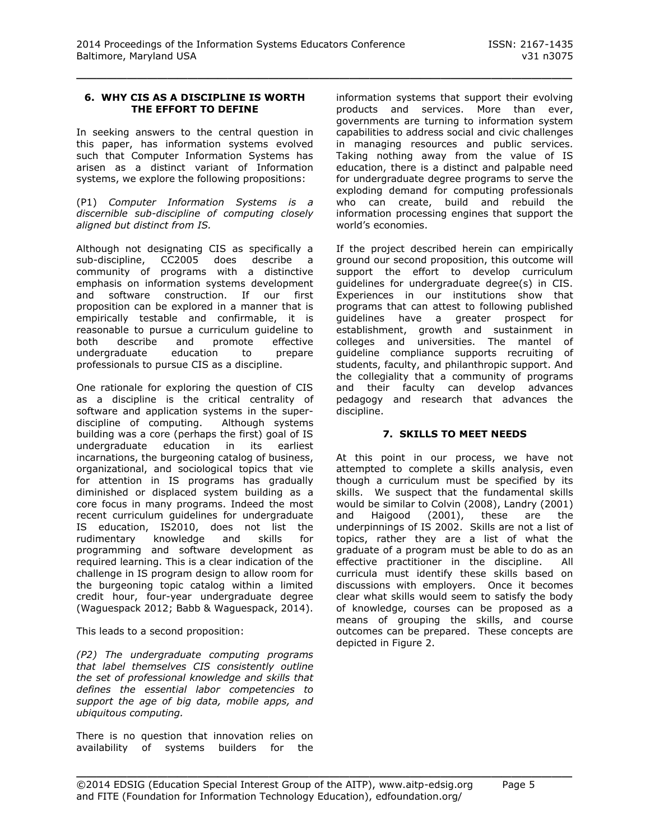#### **6. WHY CIS AS A DISCIPLINE IS WORTH THE EFFORT TO DEFINE**

In seeking answers to the central question in this paper, has information systems evolved such that Computer Information Systems has arisen as a distinct variant of Information systems, we explore the following propositions:

(P1) *Computer Information Systems is a discernible sub-discipline of computing closely aligned but distinct from IS.*

Although not designating CIS as specifically a sub-discipline, CC2005 does describe a community of programs with a distinctive emphasis on information systems development and software construction. If our first proposition can be explored in a manner that is empirically testable and confirmable, it is reasonable to pursue a curriculum guideline to both describe and promote effective undergraduate education to prepare professionals to pursue CIS as a discipline.

One rationale for exploring the question of CIS as a discipline is the critical centrality of software and application systems in the superdiscipline of computing. Although systems building was a core (perhaps the first) goal of IS undergraduate education in its earliest incarnations, the burgeoning catalog of business, organizational, and sociological topics that vie for attention in IS programs has gradually diminished or displaced system building as a core focus in many programs. Indeed the most recent curriculum guidelines for undergraduate IS education, IS2010, does not list the rudimentary knowledge and skills for programming and software development as required learning. This is a clear indication of the challenge in IS program design to allow room for the burgeoning topic catalog within a limited credit hour, four-year undergraduate degree (Waguespack 2012; Babb & Waguespack, 2014).

This leads to a second proposition:

*(P2) The undergraduate computing programs that label themselves CIS consistently outline the set of professional knowledge and skills that defines the essential labor competencies to support the age of big data, mobile apps, and ubiquitous computing.* 

There is no question that innovation relies on availability of systems builders for the information systems that support their evolving products and services. More than ever, governments are turning to information system capabilities to address social and civic challenges in managing resources and public services. Taking nothing away from the value of IS education, there is a distinct and palpable need for undergraduate degree programs to serve the exploding demand for computing professionals who can create, build and rebuild the information processing engines that support the world's economies.

If the project described herein can empirically ground our second proposition, this outcome will support the effort to develop curriculum guidelines for undergraduate degree(s) in CIS. Experiences in our institutions show that programs that can attest to following published guidelines have a greater prospect for establishment, growth and sustainment in colleges and universities. The mantel of guideline compliance supports recruiting of students, faculty, and philanthropic support. And the collegiality that a community of programs and their faculty can develop advances pedagogy and research that advances the discipline.

#### **7. SKILLS TO MEET NEEDS**

At this point in our process, we have not attempted to complete a skills analysis, even though a curriculum must be specified by its skills. We suspect that the fundamental skills would be similar to Colvin (2008), Landry (2001) and Haigood (2001), these are the underpinnings of IS 2002. Skills are not a list of topics, rather they are a list of what the graduate of a program must be able to do as an effective practitioner in the discipline. All curricula must identify these skills based on discussions with employers. Once it becomes clear what skills would seem to satisfy the body of knowledge, courses can be proposed as a means of grouping the skills, and course outcomes can be prepared. These concepts are depicted in Figure 2.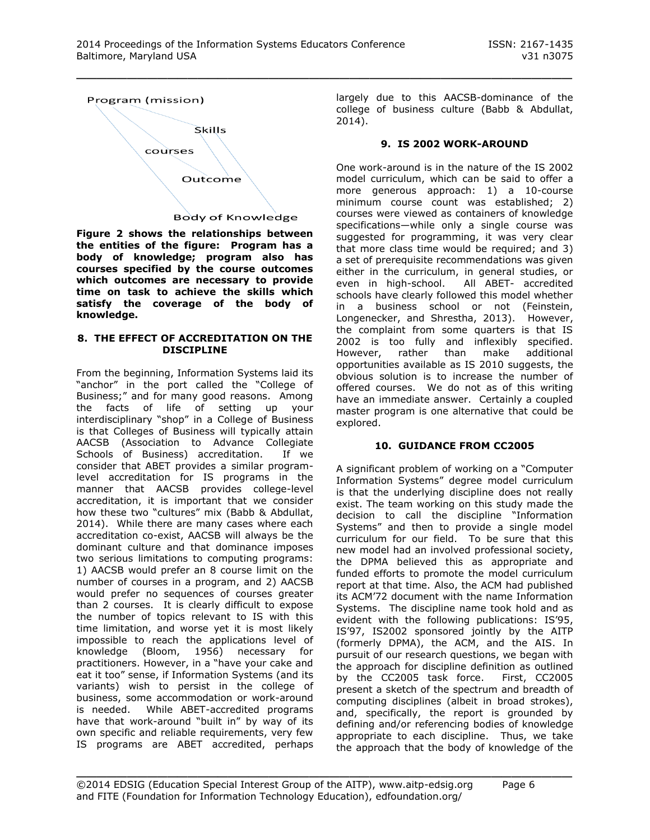

**Figure 2 shows the relationships between the entities of the figure: Program has a body of knowledge; program also has courses specified by the course outcomes which outcomes are necessary to provide time on task to achieve the skills which satisfy the coverage of the body of knowledge.**

#### **8. THE EFFECT OF ACCREDITATION ON THE DISCIPLINE**

From the beginning, Information Systems laid its "anchor" in the port called the "College of Business;" and for many good reasons. Among the facts of life of setting up your interdisciplinary "shop" in a College of Business is that Colleges of Business will typically attain AACSB (Association to Advance Collegiate Schools of Business) accreditation. If we consider that ABET provides a similar programlevel accreditation for IS programs in the manner that AACSB provides college-level accreditation, it is important that we consider how these two "cultures" mix (Babb & Abdullat, 2014). While there are many cases where each accreditation co-exist, AACSB will always be the dominant culture and that dominance imposes two serious limitations to computing programs: 1) AACSB would prefer an 8 course limit on the number of courses in a program, and 2) AACSB would prefer no sequences of courses greater than 2 courses. It is clearly difficult to expose the number of topics relevant to IS with this time limitation, and worse yet it is most likely impossible to reach the applications level of knowledge (Bloom, 1956) necessary for practitioners. However, in a "have your cake and eat it too" sense, if Information Systems (and its variants) wish to persist in the college of business, some accommodation or work-around is needed. While ABET-accredited programs have that work-around "built in" by way of its own specific and reliable requirements, very few IS programs are ABET accredited, perhaps

largely due to this AACSB-dominance of the college of business culture (Babb & Abdullat, 2014).

#### **9. IS 2002 WORK-AROUND**

One work-around is in the nature of the IS 2002 model curriculum, which can be said to offer a more generous approach: 1) a 10-course minimum course count was established; 2) courses were viewed as containers of knowledge specifications—while only a single course was suggested for programming, it was very clear that more class time would be required; and 3) a set of prerequisite recommendations was given either in the curriculum, in general studies, or even in high-school. All ABET- accredited schools have clearly followed this model whether in a business school or not (Feinstein, Longenecker, and Shrestha, 2013). However, the complaint from some quarters is that IS 2002 is too fully and inflexibly specified. However, rather than make additional opportunities available as IS 2010 suggests, the obvious solution is to increase the number of offered courses. We do not as of this writing have an immediate answer. Certainly a coupled master program is one alternative that could be explored.

#### **10. GUIDANCE FROM CC2005**

A significant problem of working on a "Computer Information Systems" degree model curriculum is that the underlying discipline does not really exist. The team working on this study made the decision to call the discipline "Information Systems" and then to provide a single model curriculum for our field. To be sure that this new model had an involved professional society, the DPMA believed this as appropriate and funded efforts to promote the model curriculum report at that time. Also, the ACM had published its ACM'72 document with the name Information Systems. The discipline name took hold and as evident with the following publications: IS'95, IS'97, IS2002 sponsored jointly by the AITP (formerly DPMA), the ACM, and the AIS. In pursuit of our research questions, we began with the approach for discipline definition as outlined by the CC2005 task force. First, CC2005 present a sketch of the spectrum and breadth of computing disciplines (albeit in broad strokes), and, specifically, the report is grounded by defining and/or referencing bodies of knowledge appropriate to each discipline. Thus, we take the approach that the body of knowledge of the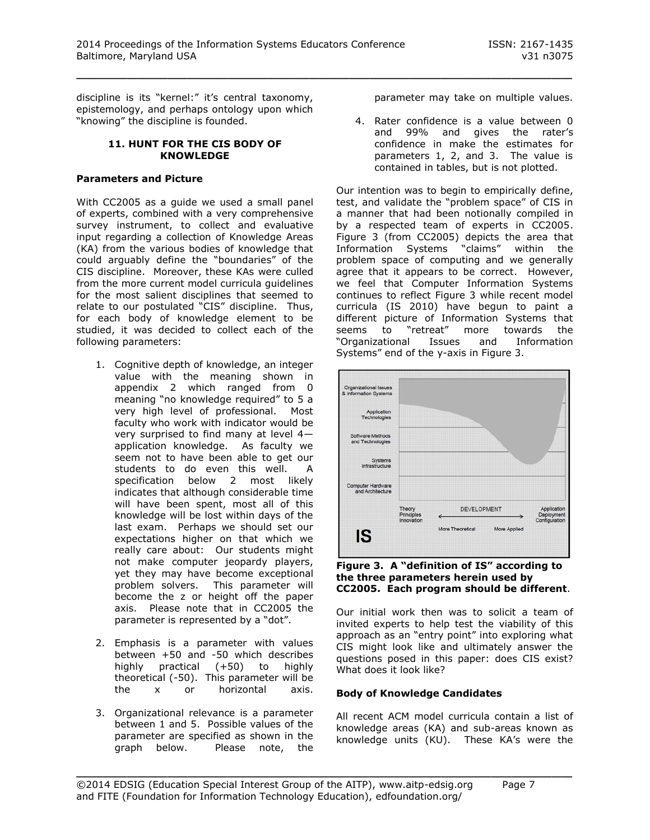discipline is its "kernel:" it's central taxonomy, epistemology, and perhaps ontology upon which "knowing" the discipline is founded.

#### **11. HUNT FOR THE CIS BODY OF KNOWLEDGE**

#### **Parameters and Picture**

With CC2005 as a guide we used a small panel of experts, combined with a very comprehensive survey instrument, to collect and evaluative input regarding a collection of Knowledge Areas (KA) from the various bodies of knowledge that could arguably define the "boundaries" of the CIS discipline. Moreover, these KAs were culled from the more current model curricula guidelines for the most salient disciplines that seemed to relate to our postulated "CIS" discipline. Thus, for each body of knowledge element to be studied, it was decided to collect each of the following parameters:

- 1. Cognitive depth of knowledge, an integer value with the meaning shown in appendix 2 which ranged from 0 meaning "no knowledge required" to 5 a very high level of professional. Most faculty who work with indicator would be very surprised to find many at level 4 application knowledge. As faculty we seem not to have been able to get our students to do even this well. A specification below 2 most likely indicates that although considerable time will have been spent, most all of this knowledge will be lost within days of the last exam. Perhaps we should set our expectations higher on that which we really care about: Our students might not make computer jeopardy players, yet they may have become exceptional problem solvers. This parameter will become the z or height off the paper axis. Please note that in CC2005 the parameter is represented by a "dot".
- 2. Emphasis is a parameter with values between +50 and -50 which describes highly practical (+50) to highly theoretical (-50). This parameter will be the x or horizontal axis.
- 3. Organizational relevance is a parameter between 1 and 5. Possible values of the parameter are specified as shown in the graph below. Please note, the

parameter may take on multiple values.

4. Rater confidence is a value between 0 and 99% and gives the rater's confidence in make the estimates for parameters 1, 2, and 3. The value is contained in tables, but is not plotted.

Our intention was to begin to empirically define, test, and validate the "problem space" of CIS in a manner that had been notionally compiled in by a respected team of experts in CC2005. Figure 3 (from CC2005) depicts the area that Information Systems "claims" within the problem space of computing and we generally agree that it appears to be correct. However, we feel that Computer Information Systems continues to reflect Figure 3 while recent model curricula (IS 2010) have begun to paint a different picture of Information Systems that seems to "retreat" more towards the "Organizational Issues and Information Systems" end of the y-axis in Figure 3.



**Figure 3. A "definition of IS" according to the three parameters herein used by CC2005. Each program should be different**.

Our initial work then was to solicit a team of invited experts to help test the viability of this approach as an "entry point" into exploring what CIS might look like and ultimately answer the questions posed in this paper: does CIS exist? What does it look like?

#### **Body of Knowledge Candidates**

All recent ACM model curricula contain a list of knowledge areas (KA) and sub-areas known as knowledge units (KU). These KA's were the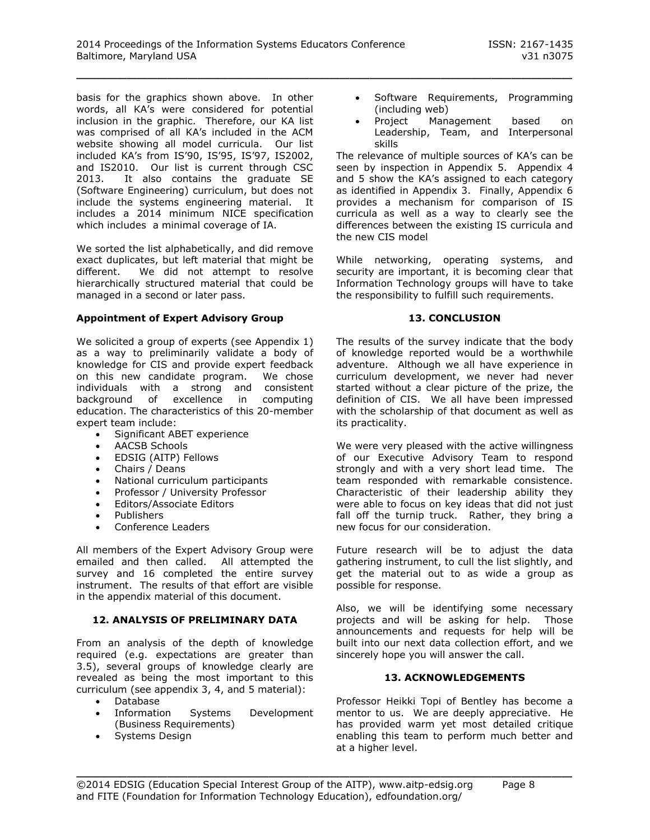basis for the graphics shown above. In other words, all KA's were considered for potential inclusion in the graphic. Therefore, our KA list was comprised of all KA's included in the ACM website showing all model curricula. Our list included KA's from IS'90, IS'95, IS'97, IS2002, and IS2010. Our list is current through CSC 2013. It also contains the graduate SE (Software Engineering) curriculum, but does not include the systems engineering material. It includes a 2014 minimum NICE specification which includes a minimal coverage of IA.

We sorted the list alphabetically, and did remove exact duplicates, but left material that might be different. We did not attempt to resolve hierarchically structured material that could be managed in a second or later pass.

#### **Appointment of Expert Advisory Group**

We solicited a group of experts (see Appendix 1) as a way to preliminarily validate a body of knowledge for CIS and provide expert feedback on this new candidate program. We chose individuals with a strong and consistent background of excellence in computing education. The characteristics of this 20-member expert team include:

- Significant ABET experience
- AACSB Schools
- EDSIG (AITP) Fellows
- Chairs / Deans
- National curriculum participants
- Professor / University Professor
- Editors/Associate Editors
- Publishers
- Conference Leaders

All members of the Expert Advisory Group were emailed and then called. All attempted the survey and 16 completed the entire survey instrument. The results of that effort are visible in the appendix material of this document.

#### **12. ANALYSIS OF PRELIMINARY DATA**

From an analysis of the depth of knowledge required (e.g. expectations are greater than 3.5), several groups of knowledge clearly are revealed as being the most important to this curriculum (see appendix 3, 4, and 5 material):

- Database
- Information Systems Development (Business Requirements)
- Systems Design
- Software Requirements, Programming (including web)
- Project Management based on Leadership, Team, and Interpersonal skills

The relevance of multiple sources of KA's can be seen by inspection in Appendix 5. Appendix 4 and 5 show the KA's assigned to each category as identified in Appendix 3. Finally, Appendix 6 provides a mechanism for comparison of IS curricula as well as a way to clearly see the differences between the existing IS curricula and the new CIS model

While networking, operating systems, and security are important, it is becoming clear that Information Technology groups will have to take the responsibility to fulfill such requirements.

#### **13. CONCLUSION**

The results of the survey indicate that the body of knowledge reported would be a worthwhile adventure. Although we all have experience in curriculum development, we never had never started without a clear picture of the prize, the definition of CIS. We all have been impressed with the scholarship of that document as well as its practicality.

We were very pleased with the active willingness of our Executive Advisory Team to respond strongly and with a very short lead time. The team responded with remarkable consistence. Characteristic of their leadership ability they were able to focus on key ideas that did not just fall off the turnip truck. Rather, they bring a new focus for our consideration.

Future research will be to adjust the data gathering instrument, to cull the list slightly, and get the material out to as wide a group as possible for response.

Also, we will be identifying some necessary projects and will be asking for help. Those announcements and requests for help will be built into our next data collection effort, and we sincerely hope you will answer the call.

#### **13. ACKNOWLEDGEMENTS**

Professor Heikki Topi of Bentley has become a mentor to us. We are deeply appreciative. He has provided warm yet most detailed critique enabling this team to perform much better and at a higher level.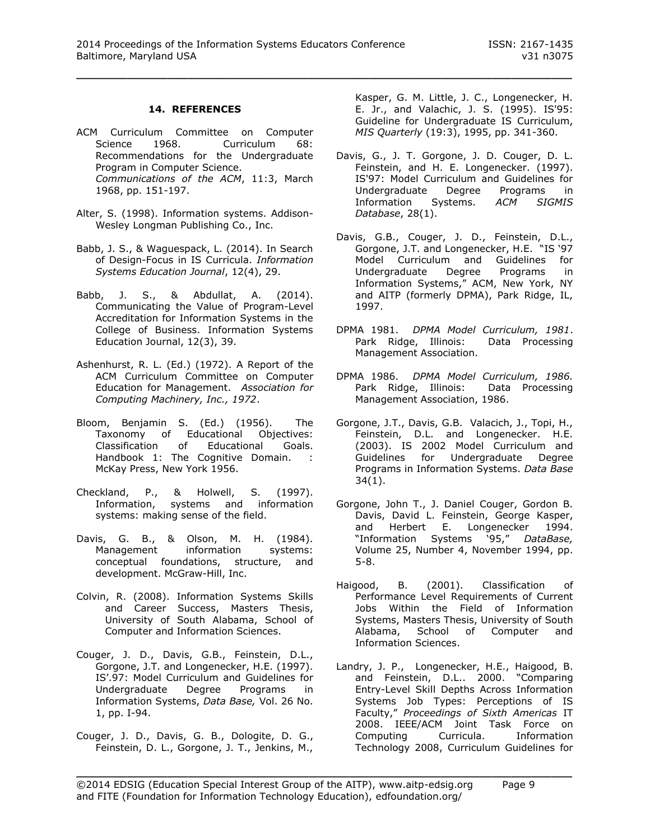#### **14. REFERENCES**

- ACM Curriculum Committee on Computer Science 1968. Curriculum 68: Recommendations for the Undergraduate Program in Computer Science. *Communications of the ACM*, 11:3, March 1968, pp. 151-197.
- Alter, S. (1998). Information systems. Addison-Wesley Longman Publishing Co., Inc.
- Babb, J. S., & Waguespack, L. (2014). In Search of Design-Focus in IS Curricula. *Information Systems Education Journal*, 12(4), 29.
- Babb, J. S., & Abdullat, A. (2014). Communicating the Value of Program-Level Accreditation for Information Systems in the College of Business. Information Systems Education Journal, 12(3), 39.
- Ashenhurst, R. L. (Ed.) (1972). A Report of the ACM Curriculum Committee on Computer Education for Management. *Association for Computing Machinery, Inc., 1972*.
- Bloom, Benjamin S. (Ed.) (1956). The Taxonomy of Educational Objectives: Classification of Educational Goals. Handbook 1: The Cognitive Domain. : McKay Press, New York 1956.
- Checkland, P., & Holwell, S. (1997). Information, systems and information systems: making sense of the field.
- Davis, G. B., & Olson, M. H. (1984).<br>Management information systems: information systems: conceptual foundations, structure, and development. McGraw-Hill, Inc.
- Colvin, R. (2008). Information Systems Skills and Career Success, Masters Thesis, University of South Alabama, School of Computer and Information Sciences.
- Couger, J. D., Davis, G.B., Feinstein, D.L., Gorgone, J.T. and Longenecker, H.E. (1997). IS'.97: Model Curriculum and Guidelines for Undergraduate Degree Programs in Information Systems, *Data Base,* Vol. 26 No. 1, pp. I-94.
- Couger, J. D., Davis, G. B., Dologite, D. G., Feinstein, D. L., Gorgone, J. T., Jenkins, M.,

Kasper, G. M. Little, J. C., Longenecker, H. E. Jr., and Valachic, J. S. (1995). IS'95: Guideline for Undergraduate IS Curriculum, *MIS Quarterly* (19:3), 1995, pp. 341-360.

- Davis, G., J. T. Gorgone, J. D. Couger, D. L. Feinstein, and H. E. Longenecker. (1997). IS'97: Model Curriculum and Guidelines for Undergraduate Degree Programs in Information Systems. *ACM SIGMIS Database*, 28(1).
- Davis, G.B., Couger, J. D., Feinstein, D.L., Gorgone, J.T. and Longenecker, H.E. "IS '97 Model Curriculum and Guidelines for Undergraduate Degree Programs in Information Systems," ACM, New York, NY and AITP (formerly DPMA), Park Ridge, IL, 1997.
- DPMA 1981. *DPMA Model Curriculum, 1981*. Park Ridge, Illinois: Data Processing Management Association.
- DPMA 1986. *DPMA Model Curriculum, 1986.* Park Ridge, Illinois: Data Processing Management Association, 1986.
- Gorgone, J.T., Davis, G.B. Valacich, J., Topi, H., Feinstein, D.L. and Longenecker. H.E. (2003). IS 2002 Model Curriculum and Guidelines for Undergraduate Degree Programs in Information Systems. *Data Base* 34(1).
- Gorgone, John T., J. Daniel Couger, Gordon B. Davis, David L. Feinstein, George Kasper, and Herbert E. Longenecker 1994. "Information Systems '95," *DataBase,*  Volume 25, Number 4, November 1994, pp. 5-8.
- Haigood, B. (2001). Classification of Performance Level Requirements of Current Jobs Within the Field of Information Systems, Masters Thesis, University of South Alabama, School of Computer and Information Sciences.
- Landry, J. P., Longenecker, H.E., Haigood, B. and Feinstein, D.L.. 2000. "Comparing Entry-Level Skill Depths Across Information Systems Job Types: Perceptions of IS Faculty," *Proceedings of Sixth Americas* IT 2008. IEEE/ACM Joint Task Force on Computing Curricula. Information Technology 2008, Curriculum Guidelines for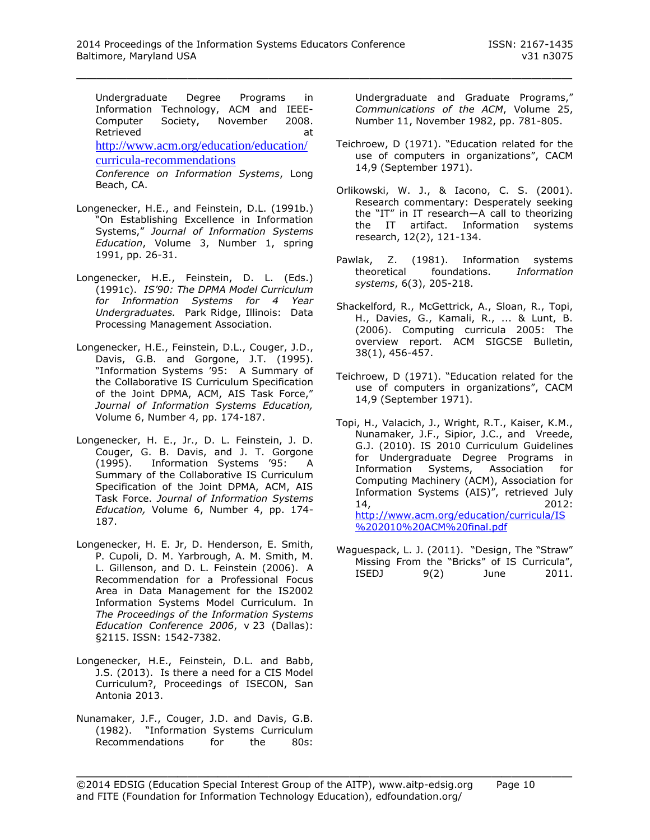Undergraduate Degree Programs in Information Technology, ACM and IEEE-Computer Society, November 2008. Retrieved at a state of the state and at a state and at a state and at a state and at a state and at a state and at a state and at a state and at a state and at a state and at a state and at a state and at a state and at a [http://www.acm.org/education/education/](http://www.acm.org/education/education/curricula-recommendations) [curricula-recommendations](http://www.acm.org/education/education/curricula-recommendations) *Conference on Information Systems*, Long Beach, CA.

- Longenecker, H.E., and Feinstein, D.L. (1991b.) "On Establishing Excellence in Information Systems," *Journal of Information Systems Education*, Volume 3, Number 1, spring 1991, pp. 26-31.
- Longenecker, H.E., Feinstein, D. L. (Eds.) (1991c). *IS'90: The DPMA Model Curriculum for Information Systems for 4 Year Undergraduates.* Park Ridge, Illinois: Data Processing Management Association.
- Longenecker, H.E., Feinstein, D.L., Couger, J.D., Davis, G.B. and Gorgone, J.T. (1995). "Information Systems '95: A Summary of the Collaborative IS Curriculum Specification of the Joint DPMA, ACM, AIS Task Force," *Journal of Information Systems Education,* Volume 6, Number 4, pp. 174-187.
- Longenecker, H. E., Jr., D. L. Feinstein, J. D. Couger, G. B. Davis, and J. T. Gorgone (1995). Information Systems '95: A Summary of the Collaborative IS Curriculum Specification of the Joint DPMA, ACM, AIS Task Force. *Journal of Information Systems Education,* Volume 6, Number 4, pp. 174- 187.
- Longenecker, H. E. Jr, D. Henderson, E. Smith, P. Cupoli, D. M. Yarbrough, A. M. Smith, M. L. Gillenson, and D. L. Feinstein (2006). A Recommendation for a Professional Focus Area in Data Management for the IS2002 Information Systems Model Curriculum. In *The Proceedings of the Information Systems Education Conference 2006*, v 23 (Dallas): §2115. ISSN: 1542-7382.
- Longenecker, H.E., Feinstein, D.L. and Babb, J.S. (2013). Is there a need for a CIS Model Curriculum?, Proceedings of ISECON, San Antonia 2013.
- Nunamaker, J.F., Couger, J.D. and Davis, G.B. (1982). "Information Systems Curriculum Recommendations for the 80s:

Undergraduate and Graduate Programs," *Communications of the ACM*, Volume 25, Number 11, November 1982, pp. 781-805.

- Teichroew, D (1971). "Education related for the use of computers in organizations", CACM 14,9 (September 1971).
- Orlikowski, W. J., & Iacono, C. S. (2001). Research commentary: Desperately seeking the "IT" in IT research—A call to theorizing the IT artifact. Information systems research, 12(2), 121-134.
- Pawlak, Z. (1981). Information systems theoretical foundations. *Information systems*, 6(3), 205-218.
- Shackelford, R., McGettrick, A., Sloan, R., Topi, H., Davies, G., Kamali, R., ... & Lunt, B. (2006). Computing curricula 2005: The overview report. ACM SIGCSE Bulletin, 38(1), 456-457.
- Teichroew, D (1971). "Education related for the use of computers in organizations", CACM 14,9 (September 1971).
- Topi, H., Valacich, J., Wright, R.T., Kaiser, K.M., Nunamaker, J.F., Sipior, J.C., and Vreede, G.J. (2010). IS 2010 Curriculum Guidelines for Undergraduate Degree Programs in Information Systems, Association for Computing Machinery (ACM), Association for Information Systems (AIS)", retrieved July 14, 2012: [http://www.acm.org/education/curricula/IS](http://www.acm.org/education/curricula/IS%202010%20ACM%20final.pdf) [%202010%20ACM%20final.pdf](http://www.acm.org/education/curricula/IS%202010%20ACM%20final.pdf)
- Waguespack, L. J. (2011). "Design, The "Straw" Missing From the "Bricks" of IS Curricula", ISEDJ 9(2) June 2011.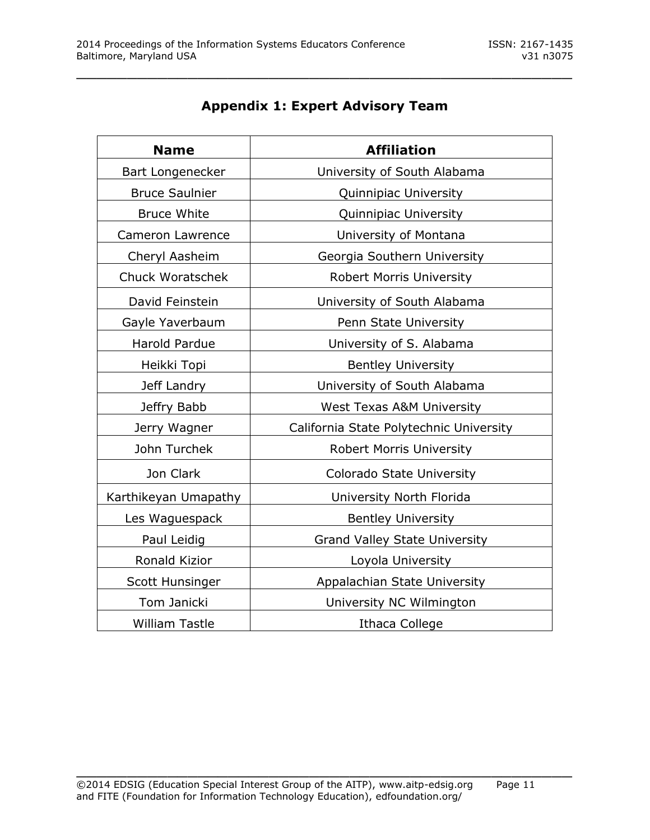| <b>Name</b>             | <b>Affiliation</b>                      |
|-------------------------|-----------------------------------------|
| Bart Longenecker        | University of South Alabama             |
| <b>Bruce Saulnier</b>   | Quinnipiac University                   |
| <b>Bruce White</b>      | Quinnipiac University                   |
| Cameron Lawrence        | University of Montana                   |
| Cheryl Aasheim          | Georgia Southern University             |
| <b>Chuck Woratschek</b> | <b>Robert Morris University</b>         |
| David Feinstein         | University of South Alabama             |
| Gayle Yaverbaum         | Penn State University                   |
| Harold Pardue           | University of S. Alabama                |
| Heikki Topi             | <b>Bentley University</b>               |
| Jeff Landry             | University of South Alabama             |
| Jeffry Babb             | <b>West Texas A&amp;M University</b>    |
| Jerry Wagner            | California State Polytechnic University |
| John Turchek            | <b>Robert Morris University</b>         |
| Jon Clark               | Colorado State University               |
| Karthikeyan Umapathy    | University North Florida                |
| Les Waguespack          | <b>Bentley University</b>               |
| Paul Leidig             | <b>Grand Valley State University</b>    |
| Ronald Kizior           | Loyola University                       |
| Scott Hunsinger         | Appalachian State University            |
| Tom Janicki             | University NC Wilmington                |
| <b>William Tastle</b>   | <b>Ithaca College</b>                   |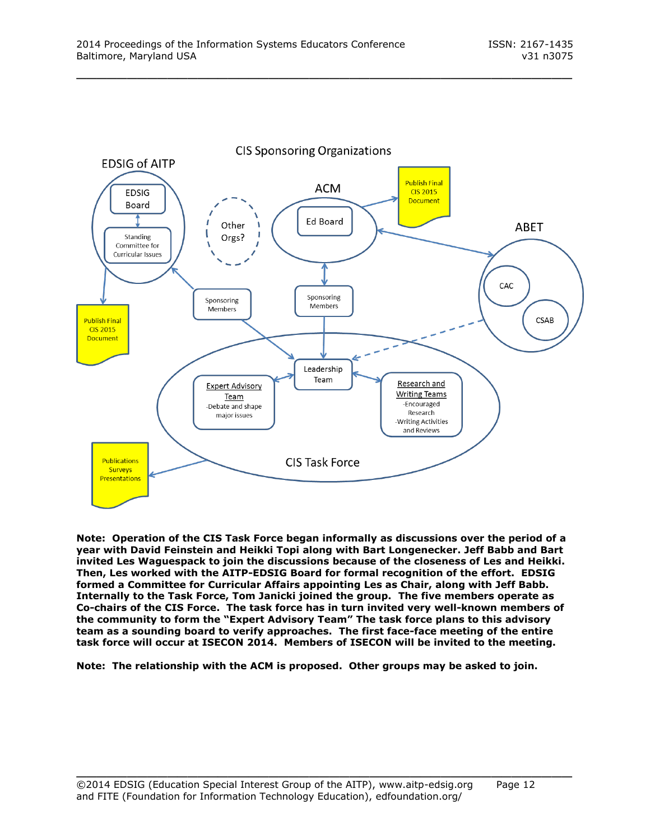

**Note: Operation of the CIS Task Force began informally as discussions over the period of a year with David Feinstein and Heikki Topi along with Bart Longenecker. Jeff Babb and Bart invited Les Waguespack to join the discussions because of the closeness of Les and Heikki. Then, Les worked with the AITP-EDSIG Board for formal recognition of the effort. EDSIG formed a Committee for Curricular Affairs appointing Les as Chair, along with Jeff Babb. Internally to the Task Force, Tom Janicki joined the group. The five members operate as Co-chairs of the CIS Force. The task force has in turn invited very well-known members of the community to form the "Expert Advisory Team" The task force plans to this advisory team as a sounding board to verify approaches. The first face-face meeting of the entire task force will occur at ISECON 2014. Members of ISECON will be invited to the meeting.**

**Note: The relationship with the ACM is proposed. Other groups may be asked to join.**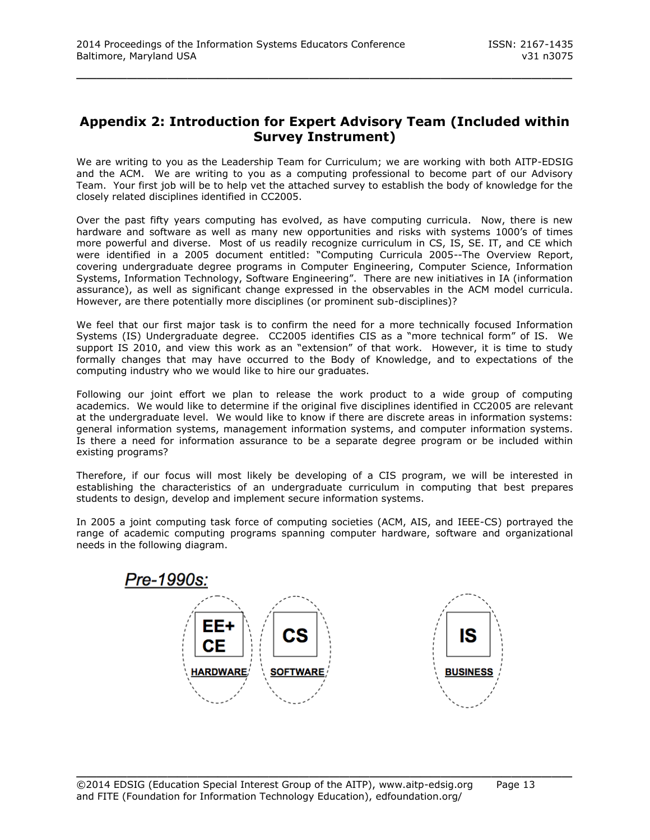### **Appendix 2: Introduction for Expert Advisory Team (Included within Survey Instrument)**

\_\_\_\_\_\_\_\_\_\_\_\_\_\_\_\_\_\_\_\_\_\_\_\_\_\_\_\_\_\_\_\_\_\_\_\_\_\_\_\_\_\_\_\_\_\_\_\_\_

We are writing to you as the Leadership Team for Curriculum; we are working with both AITP-EDSIG and the ACM. We are writing to you as a computing professional to become part of our Advisory Team. Your first job will be to help vet the attached survey to establish the body of knowledge for the closely related disciplines identified in CC2005.

Over the past fifty years computing has evolved, as have computing curricula. Now, there is new hardware and software as well as many new opportunities and risks with systems 1000's of times more powerful and diverse. Most of us readily recognize curriculum in CS, IS, SE. IT, and CE which were identified in a 2005 document entitled: "Computing Curricula 2005--The Overview Report, covering undergraduate degree programs in Computer Engineering, Computer Science, Information Systems, Information Technology, Software Engineering". There are new initiatives in IA (information assurance), as well as significant change expressed in the observables in the ACM model curricula. However, are there potentially more disciplines (or prominent sub-disciplines)?

We feel that our first major task is to confirm the need for a more technically focused Information Systems (IS) Undergraduate degree. CC2005 identifies CIS as a "more technical form" of IS. We support IS 2010, and view this work as an "extension" of that work. However, it is time to study formally changes that may have occurred to the Body of Knowledge, and to expectations of the computing industry who we would like to hire our graduates.

Following our joint effort we plan to release the work product to a wide group of computing academics. We would like to determine if the original five disciplines identified in CC2005 are relevant at the undergraduate level. We would like to know if there are discrete areas in information systems: general information systems, management information systems, and computer information systems. Is there a need for information assurance to be a separate degree program or be included within existing programs?

Therefore, if our focus will most likely be developing of a CIS program, we will be interested in establishing the characteristics of an undergraduate curriculum in computing that best prepares students to design, develop and implement secure information systems.

In 2005 a joint computing task force of computing societies (ACM, AIS, and IEEE-CS) portrayed the range of academic computing programs spanning computer hardware, software and organizational needs in the following diagram.

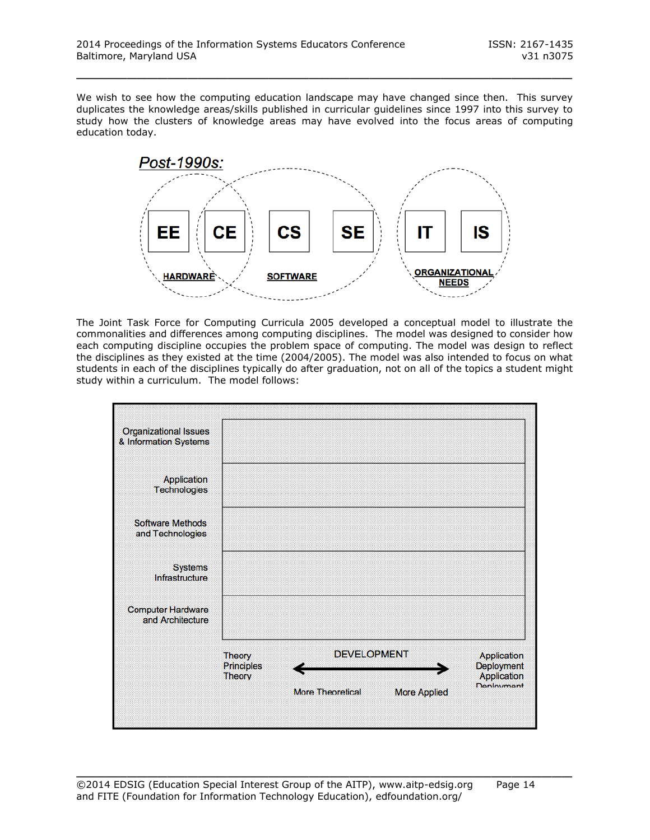We wish to see how the computing education landscape may have changed since then. This survey duplicates the knowledge areas/skills published in curricular guidelines since 1997 into this survey to study how the clusters of knowledge areas may have evolved into the focus areas of computing education today.

\_\_\_\_\_\_\_\_\_\_\_\_\_\_\_\_\_\_\_\_\_\_\_\_\_\_\_\_\_\_\_\_\_\_\_\_\_\_\_\_\_\_\_\_\_\_\_\_\_



The Joint Task Force for Computing Curricula 2005 developed a conceptual model to illustrate the commonalities and differences among computing disciplines. The model was designed to consider how each computing discipline occupies the problem space of computing. The model was design to reflect the disciplines as they existed at the time (2004/2005). The model was also intended to focus on what students in each of the disciplines typically do after graduation, not on all of the topics a student might study within a curriculum. The model follows:

| <b>Organizational Issues</b><br>& Information Systems |                                                     |                         |                     |                                                                                           |
|-------------------------------------------------------|-----------------------------------------------------|-------------------------|---------------------|-------------------------------------------------------------------------------------------|
| Application<br><b>Technologies</b>                    |                                                     |                         |                     |                                                                                           |
| <b>Software Methods</b><br>and Technologies           |                                                     |                         |                     |                                                                                           |
| <b>Systems</b><br>Infrastructure                      |                                                     |                         |                     |                                                                                           |
| <b>Computer Hardware</b><br>and Architecture          |                                                     |                         |                     |                                                                                           |
|                                                       | <b>Theory</b><br><b>Principles</b><br><b>Theory</b> | <b>DEVELOPMENT</b>      |                     | <b>Application</b><br>Deployment<br><b>Application</b><br><b><i><u>Deninument</u></i></b> |
|                                                       |                                                     | <b>More Theoretical</b> | <b>More Applied</b> |                                                                                           |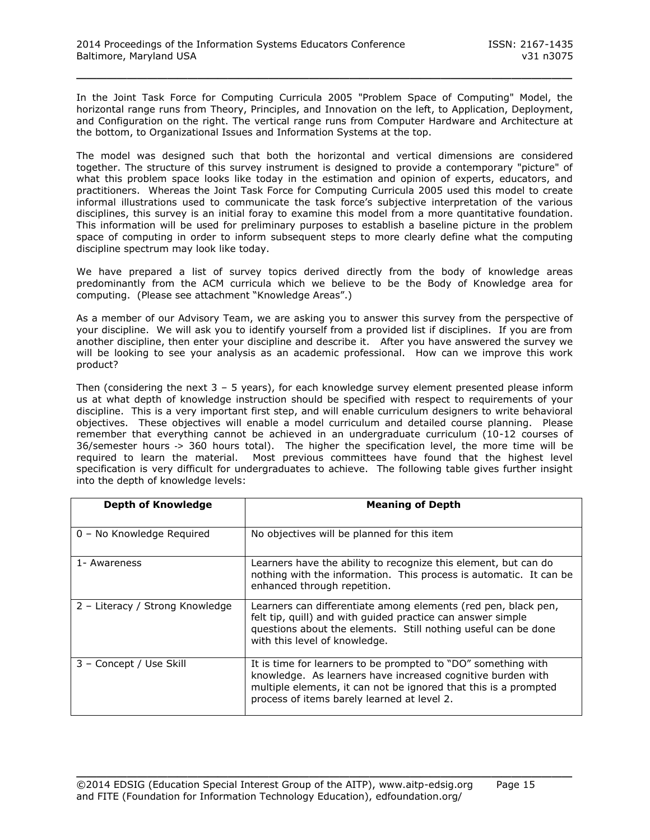In the Joint Task Force for Computing Curricula 2005 "Problem Space of Computing" Model, the horizontal range runs from Theory, Principles, and Innovation on the left, to Application, Deployment, and Configuration on the right. The vertical range runs from Computer Hardware and Architecture at the bottom, to Organizational Issues and Information Systems at the top.

\_\_\_\_\_\_\_\_\_\_\_\_\_\_\_\_\_\_\_\_\_\_\_\_\_\_\_\_\_\_\_\_\_\_\_\_\_\_\_\_\_\_\_\_\_\_\_\_\_

The model was designed such that both the horizontal and vertical dimensions are considered together. The structure of this survey instrument is designed to provide a contemporary "picture" of what this problem space looks like today in the estimation and opinion of experts, educators, and practitioners. Whereas the Joint Task Force for Computing Curricula 2005 used this model to create informal illustrations used to communicate the task force's subjective interpretation of the various disciplines, this survey is an initial foray to examine this model from a more quantitative foundation. This information will be used for preliminary purposes to establish a baseline picture in the problem space of computing in order to inform subsequent steps to more clearly define what the computing discipline spectrum may look like today.

We have prepared a list of survey topics derived directly from the body of knowledge areas predominantly from the ACM curricula which we believe to be the Body of Knowledge area for computing. (Please see attachment "Knowledge Areas".)

As a member of our Advisory Team, we are asking you to answer this survey from the perspective of your discipline. We will ask you to identify yourself from a provided list if disciplines. If you are from another discipline, then enter your discipline and describe it. After you have answered the survey we will be looking to see your analysis as an academic professional. How can we improve this work product?

Then (considering the next  $3 - 5$  years), for each knowledge survey element presented please inform us at what depth of knowledge instruction should be specified with respect to requirements of your discipline. This is a very important first step, and will enable curriculum designers to write behavioral objectives. These objectives will enable a model curriculum and detailed course planning. Please remember that everything cannot be achieved in an undergraduate curriculum (10-12 courses of 36/semester hours -> 360 hours total). The higher the specification level, the more time will be required to learn the material. Most previous committees have found that the highest level specification is very difficult for undergraduates to achieve. The following table gives further insight into the depth of knowledge levels:

| Depth of Knowledge              | <b>Meaning of Depth</b>                                                                                                                                                                                                                         |
|---------------------------------|-------------------------------------------------------------------------------------------------------------------------------------------------------------------------------------------------------------------------------------------------|
| 0 - No Knowledge Required       | No objectives will be planned for this item                                                                                                                                                                                                     |
| 1- Awareness                    | Learners have the ability to recognize this element, but can do<br>nothing with the information. This process is automatic. It can be<br>enhanced through repetition.                                                                           |
| 2 - Literacy / Strong Knowledge | Learners can differentiate among elements (red pen, black pen,<br>felt tip, quill) and with quided practice can answer simple<br>questions about the elements. Still nothing useful can be done<br>with this level of knowledge.                |
| 3 - Concept / Use Skill         | It is time for learners to be prompted to "DO" something with<br>knowledge. As learners have increased cognitive burden with<br>multiple elements, it can not be ignored that this is a prompted<br>process of items barely learned at level 2. |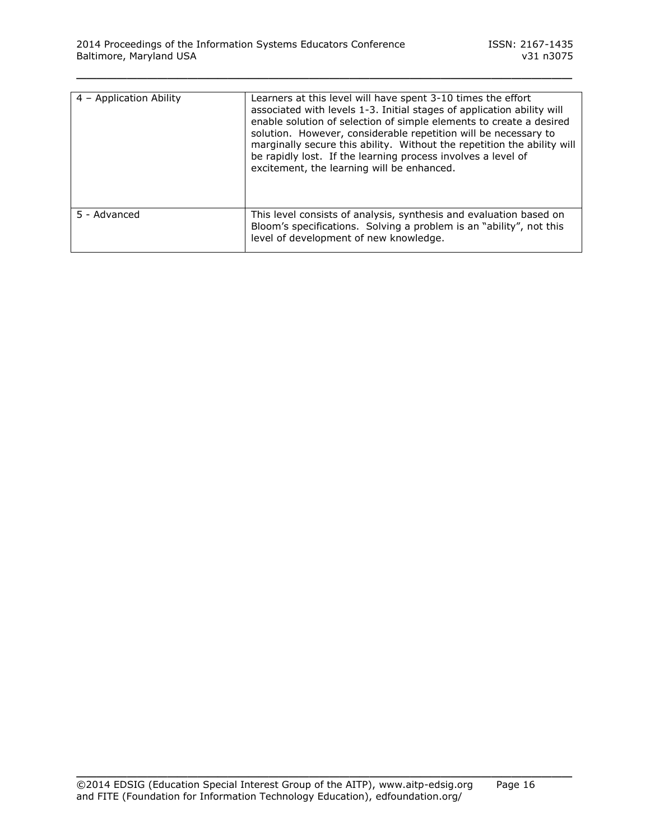| 4 - Application Ability | Learners at this level will have spent 3-10 times the effort<br>associated with levels 1-3. Initial stages of application ability will<br>enable solution of selection of simple elements to create a desired<br>solution. However, considerable repetition will be necessary to<br>marginally secure this ability. Without the repetition the ability will |
|-------------------------|-------------------------------------------------------------------------------------------------------------------------------------------------------------------------------------------------------------------------------------------------------------------------------------------------------------------------------------------------------------|
|                         | be rapidly lost. If the learning process involves a level of<br>excitement, the learning will be enhanced.                                                                                                                                                                                                                                                  |
| 5 - Advanced            | This level consists of analysis, synthesis and evaluation based on<br>Bloom's specifications. Solving a problem is an "ability", not this<br>level of development of new knowledge.                                                                                                                                                                         |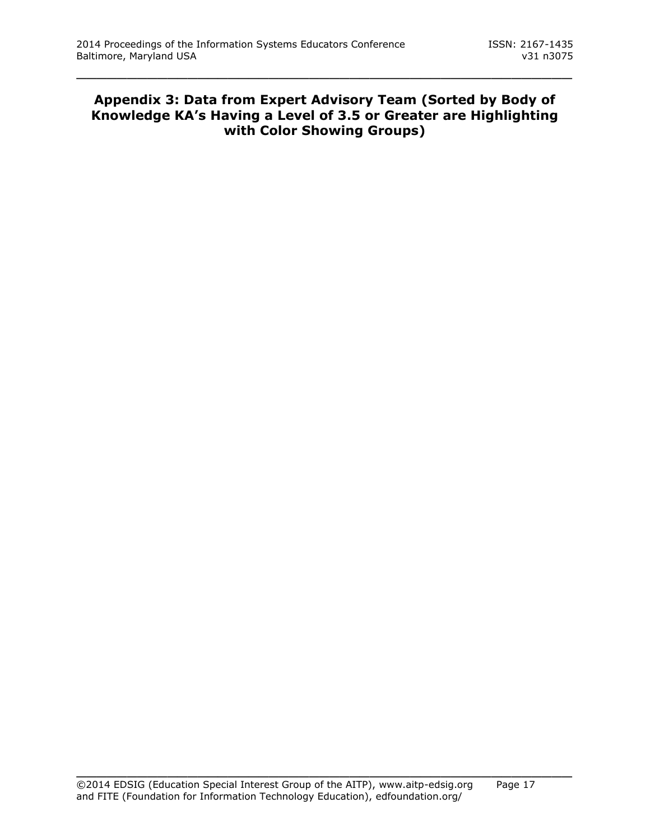### **Appendix 3: Data from Expert Advisory Team (Sorted by Body of Knowledge KA's Having a Level of 3.5 or Greater are Highlighting with Color Showing Groups)**

\_\_\_\_\_\_\_\_\_\_\_\_\_\_\_\_\_\_\_\_\_\_\_\_\_\_\_\_\_\_\_\_\_\_\_\_\_\_\_\_\_\_\_\_\_\_\_\_\_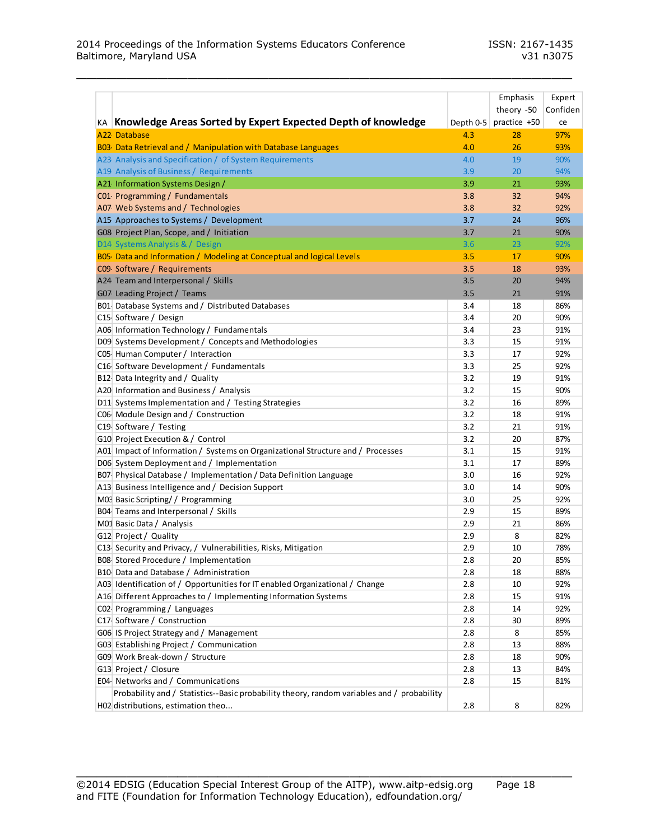|                                                                                            |           | Emphasis     | Expert   |
|--------------------------------------------------------------------------------------------|-----------|--------------|----------|
|                                                                                            |           | theory -50   | Confiden |
| KA Knowledge Areas Sorted by Expert Expected Depth of knowledge                            | Depth 0-5 | practice +50 | ce       |
| A22 Database                                                                               | 4.3       | 28           | 97%      |
| B03- Data Retrieval and / Manipulation with Database Languages                             | 4.0       | 26           | 93%      |
| A23 Analysis and Specification / of System Requirements                                    | 4.0       | 19           | 90%      |
| A19 Analysis of Business / Requirements                                                    | 3.9       | 20           | 94%      |
| A21 Information Systems Design /                                                           | 3.9       | 21           | 93%      |
| C01 Programming / Fundamentals                                                             | 3.8       | 32           | 94%      |
| A07 Web Systems and / Technologies                                                         | 3.8       | 32           | 92%      |
| A15 Approaches to Systems / Development                                                    | 3.7       | 24           | 96%      |
| G08 Project Plan, Scope, and / Initiation                                                  | 3.7       | 21           | 90%      |
| D14 Systems Analysis & / Design                                                            | 3.6       | 23           | 92%      |
| B05- Data and Information / Modeling at Conceptual and logical Levels                      | 3.5       | 17           | 90%      |
| C09 Software / Requirements                                                                | 3.5       | 18           | 93%      |
| A24 Team and Interpersonal / Skills                                                        | 3.5       | 20           | 94%      |
| G07 Leading Project / Teams                                                                | 3.5       | 21           | 91%      |
| B01 Database Systems and / Distributed Databases                                           | 3.4       | 18           | 86%      |
| C15 Software / Design                                                                      | 3.4       | 20           | 90%      |
| A06 Information Technology / Fundamentals                                                  | 3.4       | 23           | 91%      |
| D09 Systems Development / Concepts and Methodologies                                       | 3.3       | 15           | 91%      |
| C05 Human Computer / Interaction                                                           | 3.3       | 17           | 92%      |
| C16 Software Development / Fundamentals                                                    | 3.3       | 25           | 92%      |
| B12 Data Integrity and / Quality                                                           | 3.2       | 19           | 91%      |
| A20 Information and Business / Analysis                                                    | 3.2       | 15           | 90%      |
| D11 Systems Implementation and / Testing Strategies                                        | 3.2       | 16           | 89%      |
| C06 Module Design and / Construction                                                       | 3.2       | 18           | 91%      |
| C19 Software / Testing                                                                     | 3.2       | 21           | 91%      |
| G10 Project Execution & / Control                                                          | 3.2       | 20           | 87%      |
| A01 Impact of Information / Systems on Organizational Structure and / Processes            | 3.1       | 15           | 91%      |
| D06 System Deployment and / Implementation                                                 | 3.1       | 17           | 89%      |
| B07 Physical Database / Implementation / Data Definition Language                          | 3.0       | 16           | 92%      |
| A13 Business Intelligence and / Decision Support                                           | 3.0       | 14           | 90%      |
| M03 Basic Scripting/ / Programming                                                         | 3.0       | 25           | 92%      |
| B04 Teams and Interpersonal / Skills                                                       | 2.9       | 15           | 89%      |
| M01 Basic Data / Analysis                                                                  | 2.9       | 21           | 86%      |
| G12 Project / Quality                                                                      | 2.9       | 8            | 82%      |
| C13 Security and Privacy, / Vulnerabilities, Risks, Mitigation                             | 2.9       | 10           | 78%      |
| B08 Stored Procedure / Implementation                                                      | 2.8       | 20           | 85%      |
| B10 Data and Database / Administration                                                     | 2.8       | 18           | 88%      |
| A03 Identification of / Opportunities for IT enabled Organizational / Change               | 2.8       | 10           | 92%      |
| A16 Different Approaches to / Implementing Information Systems                             | 2.8       | 15           | 91%      |
| C02 Programming / Languages                                                                | 2.8       | 14           | 92%      |
| C17 Software / Construction                                                                | 2.8       | 30           | 89%      |
| G06 IS Project Strategy and / Management                                                   | 2.8       | 8            | 85%      |
| G03 Establishing Project / Communication                                                   | 2.8       | 13           | 88%      |
| G09 Work Break-down / Structure                                                            | 2.8       | 18           | 90%      |
| G13 Project / Closure                                                                      | 2.8       | 13           | 84%      |
| E04 Networks and / Communications                                                          | 2.8       | 15           | 81%      |
| Probability and / Statistics--Basic probability theory, random variables and / probability |           |              |          |
| H02 distributions, estimation theo                                                         | 2.8       | 8            | 82%      |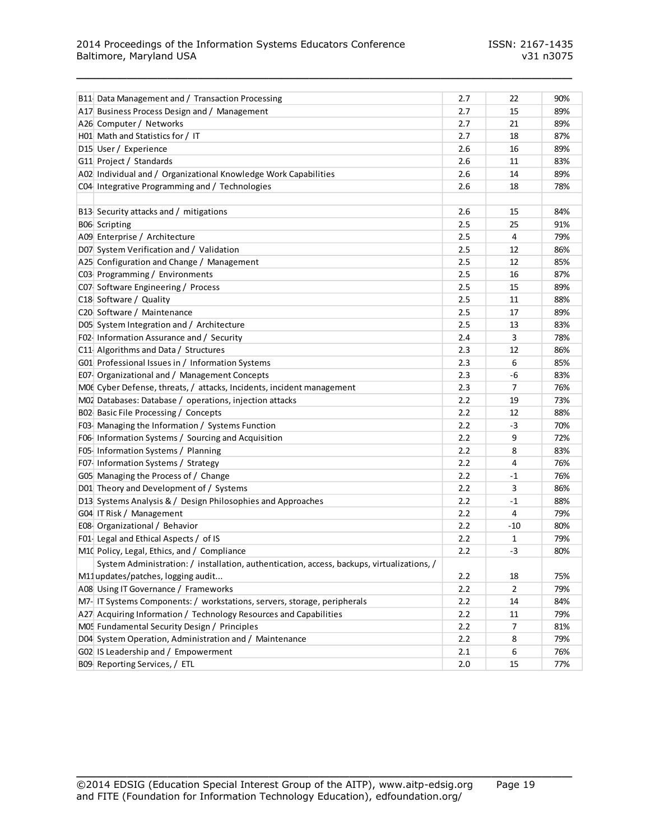| B11 Data Management and / Transaction Processing                                           | 2.7 | 22             | 90% |
|--------------------------------------------------------------------------------------------|-----|----------------|-----|
| A17 Business Process Design and / Management                                               | 2.7 | 15             | 89% |
| A26 Computer / Networks                                                                    | 2.7 | 21             | 89% |
| H01 Math and Statistics for / IT                                                           | 2.7 | 18             | 87% |
| D15 User / Experience                                                                      | 2.6 | 16             | 89% |
| G11 Project / Standards                                                                    | 2.6 | 11             | 83% |
| A02 Individual and / Organizational Knowledge Work Capabilities                            | 2.6 | 14             | 89% |
| C04 Integrative Programming and / Technologies                                             | 2.6 | 18             | 78% |
|                                                                                            |     |                |     |
| B13 Security attacks and / mitigations                                                     | 2.6 | 15             | 84% |
| B06 Scripting                                                                              | 2.5 | 25             | 91% |
| A09 Enterprise / Architecture                                                              | 2.5 | 4              | 79% |
| D07 System Verification and / Validation                                                   | 2.5 | 12             | 86% |
| A25 Configuration and Change / Management                                                  | 2.5 | 12             | 85% |
| C03 Programming / Environments                                                             | 2.5 | 16             | 87% |
| C07 Software Engineering / Process                                                         | 2.5 | 15             | 89% |
| C18 Software / Quality                                                                     | 2.5 | 11             | 88% |
| C20 Software / Maintenance                                                                 | 2.5 | 17             | 89% |
| D05 System Integration and / Architecture                                                  | 2.5 | 13             | 83% |
| F02- Information Assurance and / Security                                                  | 2.4 | 3              | 78% |
| C11 Algorithms and Data / Structures                                                       | 2.3 | 12             | 86% |
| G01 Professional Issues in / Information Systems                                           | 2.3 | 6              | 85% |
| E07- Organizational and / Management Concepts                                              | 2.3 | -6             | 83% |
| MOG Cyber Defense, threats, / attacks, Incidents, incident management                      | 2.3 | 7              | 76% |
|                                                                                            | 2.2 | 19             | 73% |
| M02 Databases: Database / operations, injection attacks                                    | 2.2 |                |     |
| BO2 Basic File Processing / Concepts                                                       | 2.2 | 12             | 88% |
| F03- Managing the Information / Systems Function                                           |     | -3             | 70% |
| F06- Information Systems / Sourcing and Acquisition                                        | 2.2 | 9              | 72% |
| F05-Information Systems / Planning                                                         | 2.2 | 8              | 83% |
| F07-Information Systems / Strategy                                                         | 2.2 | 4              | 76% |
| G05 Managing the Process of / Change                                                       | 2.2 | -1             | 76% |
| D01 Theory and Development of / Systems                                                    | 2.2 | 3              | 86% |
| D13 Systems Analysis & / Design Philosophies and Approaches                                | 2.2 | $-1$           | 88% |
| G04 IT Risk / Management                                                                   | 2.2 | 4              | 79% |
| E08- Organizational / Behavior                                                             | 2.2 | $-10$          | 80% |
| F01-Legal and Ethical Aspects / of IS                                                      | 2.2 | $\mathbf{1}$   | 79% |
| M10 Policy, Legal, Ethics, and / Compliance                                                | 2.2 | -3             | 80% |
| System Administration: / installation, authentication, access, backups, virtualizations, / |     |                |     |
| M11updates/patches, logging audit                                                          | 2.2 | 18             | 75% |
| A08 Using IT Governance / Frameworks                                                       | 2.2 | $\overline{2}$ | 79% |
| M7- IT Systems Components: / workstations, servers, storage, peripherals                   | 2.2 | 14             | 84% |
| A27 Acquiring Information / Technology Resources and Capabilities                          | 2.2 | 11             | 79% |
| M05 Fundamental Security Design / Principles                                               | 2.2 | 7              | 81% |
| D04 System Operation, Administration and / Maintenance                                     | 2.2 | 8              | 79% |
| G02 IS Leadership and / Empowerment                                                        | 2.1 | 6              | 76% |
| B09 Reporting Services, / ETL                                                              | 2.0 | 15             | 77% |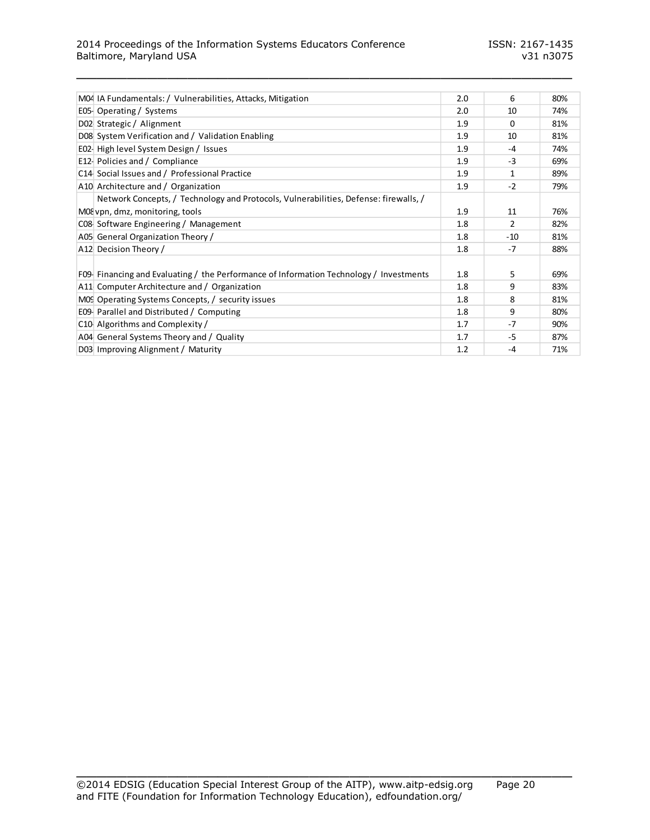#### 2014 Proceedings of the Information Systems Educators Conference ISSN: 2167-1435 Baltimore, Maryland USA v31 n3075

| M04 IA Fundamentals: / Vulnerabilities, Attacks, Mitigation                            | 2.0 | 6            | 80% |
|----------------------------------------------------------------------------------------|-----|--------------|-----|
| E05 Operating / Systems                                                                | 2.0 | 10           | 74% |
| D02 Strategic / Alignment                                                              | 1.9 | 0            | 81% |
| D08 System Verification and / Validation Enabling                                      | 1.9 | 10           | 81% |
| E02- High level System Design / Issues                                                 | 1.9 | $-4$         | 74% |
| E12 Policies and / Compliance                                                          | 1.9 | $-3$         | 69% |
| C14 Social Issues and / Professional Practice                                          | 1.9 | $\mathbf{1}$ | 89% |
| A10 Architecture and / Organization                                                    | 1.9 | $-2$         | 79% |
| Network Concepts, / Technology and Protocols, Vulnerabilities, Defense: firewalls, /   |     |              |     |
| M08 vpn, dmz, monitoring, tools                                                        | 1.9 | 11           | 76% |
| CO8 Software Engineering / Management                                                  | 1.8 | 2            | 82% |
| A05 General Organization Theory /                                                      | 1.8 | $-10$        | 81% |
| A12 Decision Theory /                                                                  | 1.8 | $-7$         | 88% |
|                                                                                        |     |              |     |
| F09 Financing and Evaluating / the Performance of Information Technology / Investments | 1.8 | 5            | 69% |
| A11 Computer Architecture and / Organization                                           | 1.8 | 9            | 83% |
| MOS Operating Systems Concepts, / security issues                                      | 1.8 | 8            | 81% |
| E09 Parallel and Distributed / Computing                                               | 1.8 | 9            | 80% |
| C10 Algorithms and Complexity /                                                        | 1.7 | $-7$         | 90% |
| A04 General Systems Theory and / Quality                                               | 1.7 | $-5$         | 87% |
| D03 Improving Alignment / Maturity                                                     | 1.2 | $-4$         | 71% |

\_\_\_\_\_\_\_\_\_\_\_\_\_\_\_\_\_\_\_\_\_\_\_\_\_\_\_\_\_\_\_\_\_\_\_\_\_\_\_\_\_\_\_\_\_\_\_\_\_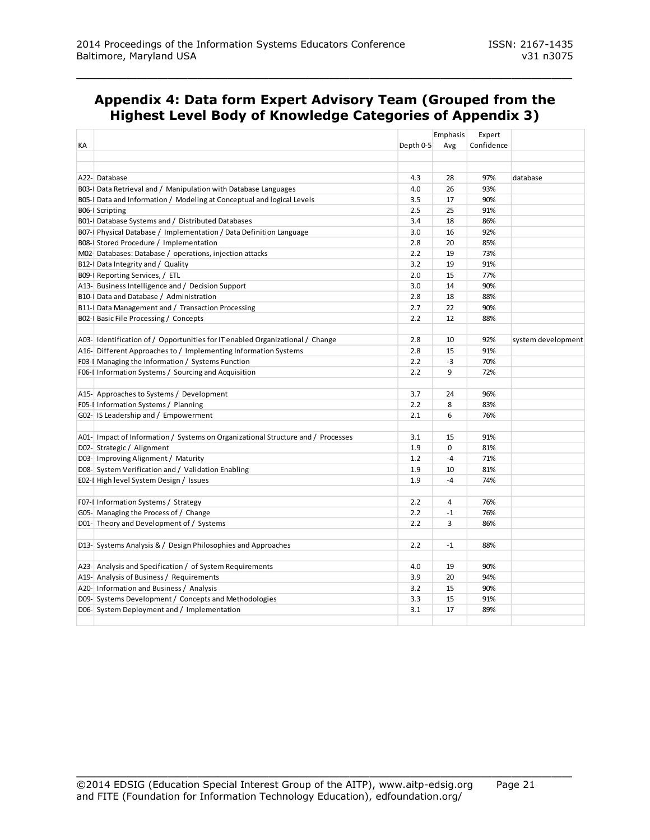### **Appendix 4: Data form Expert Advisory Team (Grouped from the Highest Level Body of Knowledge Categories of Appendix 3)**

\_\_\_\_\_\_\_\_\_\_\_\_\_\_\_\_\_\_\_\_\_\_\_\_\_\_\_\_\_\_\_\_\_\_\_\_\_\_\_\_\_\_\_\_\_\_\_\_\_

|    |                                                                                  |           | Emphasis | Expert     |                    |
|----|----------------------------------------------------------------------------------|-----------|----------|------------|--------------------|
| КA |                                                                                  | Depth 0-5 | Avg      | Confidence |                    |
|    |                                                                                  |           |          |            |                    |
|    |                                                                                  |           |          |            |                    |
|    | A22- Database                                                                    | 4.3       | 28       | 97%        | database           |
|    | B03-   Data Retrieval and / Manipulation with Database Languages                 | 4.0       | 26       | 93%        |                    |
|    | B05- Data and Information / Modeling at Conceptual and logical Levels            | 3.5       | 17       | 90%        |                    |
|    | B06-I Scripting                                                                  | 2.5       | 25       | 91%        |                    |
|    | B01- Database Systems and / Distributed Databases                                | 3.4       | 18       | 86%        |                    |
|    | B07- Physical Database / Implementation / Data Definition Language               | 3.0       | 16       | 92%        |                    |
|    | B08- Stored Procedure / Implementation                                           | 2.8       | 20       | 85%        |                    |
|    | M02-Databases: Database / operations, injection attacks                          | 2.2       | 19       | 73%        |                    |
|    | B12- Data Integrity and / Quality                                                | 3.2       | 19       | 91%        |                    |
|    | B09-I Reporting Services, / ETL                                                  | 2.0       | 15       | 77%        |                    |
|    | A13- Business Intelligence and / Decision Support                                | 3.0       | 14       | 90%        |                    |
|    | B10- Data and Database / Administration                                          | 2.8       | 18       | 88%        |                    |
|    | B11- Data Management and / Transaction Processing                                | 2.7       | 22       | 90%        |                    |
|    | BO2-   Basic File Processing / Concepts                                          | 2.2       | 12       | 88%        |                    |
|    |                                                                                  |           |          |            |                    |
|    | A03- Identification of / Opportunities for IT enabled Organizational / Change    | 2.8       | 10       | 92%        | system development |
|    | A16- Different Approaches to / Implementing Information Systems                  | 2.8       | 15       | 91%        |                    |
|    | F03-I Managing the Information / Systems Function                                | 2.2       | $-3$     | 70%        |                    |
|    | F06-I Information Systems / Sourcing and Acquisition                             | 2.2       | 9        | 72%        |                    |
|    |                                                                                  |           |          |            |                    |
|    | A15- Approaches to Systems / Development                                         | 3.7       | 24       | 96%        |                    |
|    | F05-I Information Systems / Planning                                             | 2.2       | 8        | 83%        |                    |
|    | G02- IS Leadership and / Empowerment                                             | 2.1       | 6        | 76%        |                    |
|    |                                                                                  |           |          |            |                    |
|    | A01- Impact of Information / Systems on Organizational Structure and / Processes | 3.1       | 15       | 91%        |                    |
|    | D02-Strategic / Alignment                                                        | 1.9       | $\Omega$ | 81%        |                    |
|    | D03- Improving Alignment / Maturity                                              | 1.2       | $-4$     | 71%        |                    |
|    | D08-System Verification and / Validation Enabling                                | 1.9       | 10       | 81%        |                    |
|    | E02-I High level System Design / Issues                                          | 1.9       | $-4$     | 74%        |                    |
|    |                                                                                  |           |          |            |                    |
|    | F07-I Information Systems / Strategy                                             | 2.2       | 4        | 76%        |                    |
|    | G05- Managing the Process of / Change                                            | 2.2       | $-1$     | 76%        |                    |
|    | D01- Theory and Development of / Systems                                         | 2.2       | 3        | 86%        |                    |
|    |                                                                                  |           |          |            |                    |
|    | D13- Systems Analysis & / Design Philosophies and Approaches                     | 2.2       | $-1$     | 88%        |                    |
|    |                                                                                  |           |          |            |                    |
|    | A23- Analysis and Specification / of System Requirements                         | 4.0       | 19       | 90%        |                    |
|    | A19- Analysis of Business / Requirements                                         | 3.9       | 20       | 94%        |                    |
|    | A20- Information and Business / Analysis                                         | 3.2       | 15       | 90%        |                    |
|    | D09-Systems Development / Concepts and Methodologies                             | 3.3       | 15       | 91%        |                    |
|    | D06-System Deployment and / Implementation                                       | 3.1       | 17       | 89%        |                    |
|    |                                                                                  |           |          |            |                    |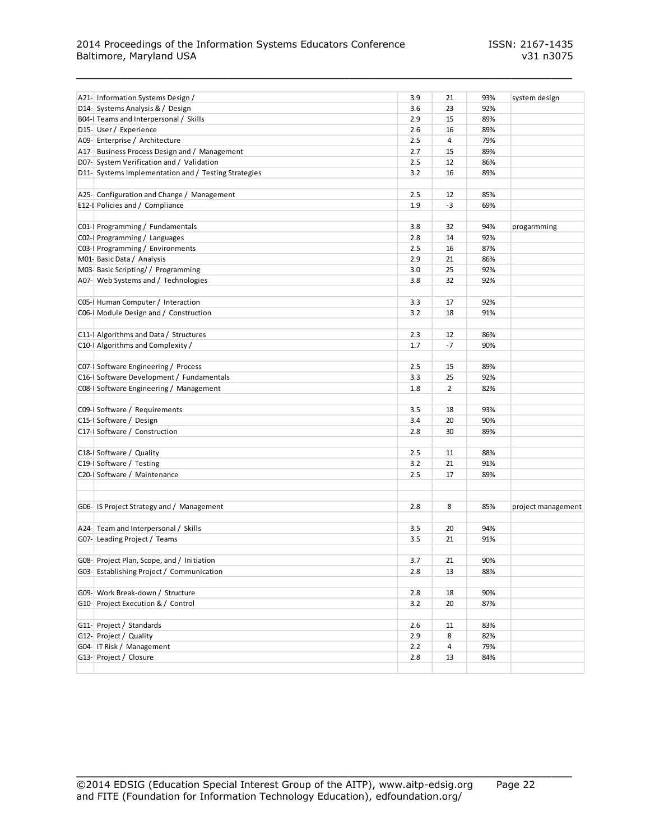#### 2014 Proceedings of the Information Systems Educators Conference ISSN: 2167-1435 Baltimore, Maryland USA v31 n3075

| A21- Information Systems Design /                                   | 3.9 | 21   | 93% | system design      |
|---------------------------------------------------------------------|-----|------|-----|--------------------|
| D14- Systems Analysis & / Design                                    | 3.6 | 23   | 92% |                    |
| B04-I Teams and Interpersonal / Skills                              | 2.9 | 15   | 89% |                    |
| D15- User / Experience                                              | 2.6 | 16   | 89% |                    |
| A09- Enterprise / Architecture                                      | 2.5 | 4    | 79% |                    |
| A17- Business Process Design and / Management                       | 2.7 | 15   | 89% |                    |
| D07-System Verification and / Validation                            | 2.5 | 12   | 86% |                    |
| D11- Systems Implementation and / Testing Strategies                | 3.2 | 16   | 89% |                    |
|                                                                     |     |      |     |                    |
| A25- Configuration and Change / Management                          | 2.5 | 12   | 85% |                    |
| E12-I Policies and / Compliance                                     | 1.9 | $-3$ | 69% |                    |
|                                                                     |     |      |     |                    |
| C01-  Programming / Fundamentals                                    | 3.8 | 32   | 94% | progarmming        |
| CO2- Programming / Languages                                        | 2.8 | 14   | 92% |                    |
| C03-I Programming / Environments                                    | 2.5 | 16   | 87% |                    |
| M01- Basic Data / Analysis                                          | 2.9 | 21   | 86% |                    |
| M03- Basic Scripting/ / Programming                                 | 3.0 | 25   | 92% |                    |
| A07- Web Systems and / Technologies                                 | 3.8 | 32   | 92% |                    |
|                                                                     |     |      |     |                    |
| C05- Human Computer / Interaction                                   | 3.3 | 17   | 92% |                    |
| C06-   Module Design and / Construction                             | 3.2 | 18   | 91% |                    |
|                                                                     |     |      |     |                    |
| C11- Algorithms and Data / Structures                               | 2.3 | 12   | 86% |                    |
| C10- Algorithms and Complexity /                                    | 1.7 | $-7$ | 90% |                    |
|                                                                     |     |      |     |                    |
| CO7-I Software Engineering / Process                                | 2.5 | 15   | 89% |                    |
| C16- Software Development / Fundamentals                            | 3.3 | 25   | 92% |                    |
| C08- Software Engineering / Management                              | 1.8 | 2    | 82% |                    |
| C09- Software / Requirements                                        | 3.5 | 18   | 93% |                    |
| C15- Software / Design                                              | 3.4 | 20   | 90% |                    |
| C17- Software / Construction                                        | 2.8 | 30   | 89% |                    |
|                                                                     |     |      |     |                    |
| C18-I Software / Quality                                            | 2.5 | 11   | 88% |                    |
| C19-I Software / Testing                                            | 3.2 | 21   | 91% |                    |
| C20- Software / Maintenance                                         | 2.5 | 17   | 89% |                    |
|                                                                     |     |      |     |                    |
|                                                                     |     |      |     |                    |
| G06- IS Project Strategy and / Management                           | 2.8 | 8    | 85% | project management |
|                                                                     | 3.5 | 20   | 94% |                    |
| A24- Team and Interpersonal / Skills<br>G07-Leading Project / Teams | 3.5 | 21   | 91% |                    |
|                                                                     |     |      |     |                    |
| G08- Project Plan, Scope, and / Initiation                          | 3.7 | 21   | 90% |                    |
| G03- Establishing Project / Communication                           | 2.8 | 13   | 88% |                    |
|                                                                     |     |      |     |                    |
| G09- Work Break-down / Structure                                    | 2.8 | 18   | 90% |                    |
| G10- Project Execution & / Control                                  | 3.2 | 20   | 87% |                    |
|                                                                     |     |      |     |                    |
| G11- Project / Standards                                            | 2.6 | 11   | 83% |                    |
| G12- Project / Quality                                              | 2.9 | 8    | 82% |                    |
| G04- IT Risk / Management                                           | 2.2 | 4    | 79% |                    |
| G13- Project / Closure                                              | 2.8 | 13   | 84% |                    |
|                                                                     |     |      |     |                    |

\_\_\_\_\_\_\_\_\_\_\_\_\_\_\_\_\_\_\_\_\_\_\_\_\_\_\_\_\_\_\_\_\_\_\_\_\_\_\_\_\_\_\_\_\_\_\_\_\_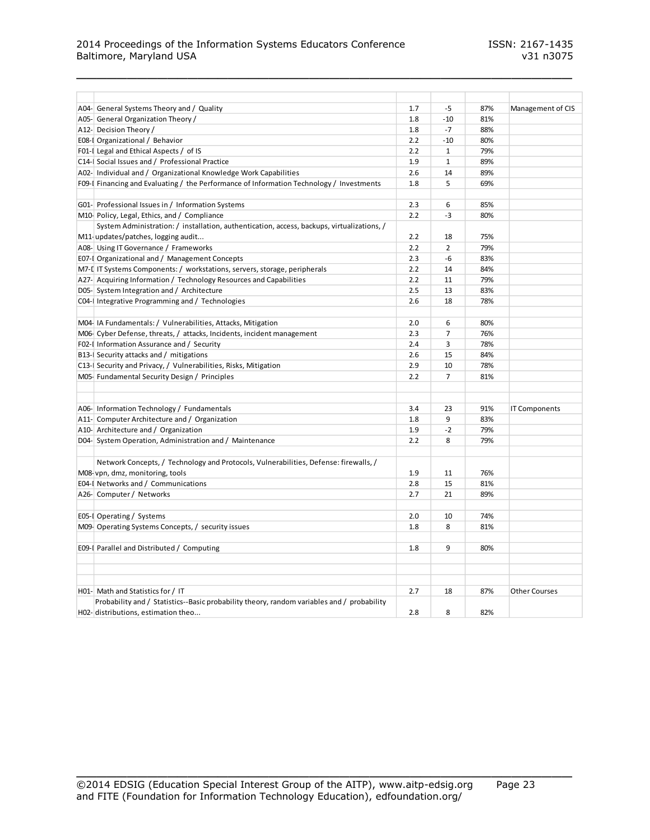#### 2014 Proceedings of the Information Systems Educators Conference ISSN: 2167-1435 Baltimore, Maryland USA v31 n3075

| A04- General Systems Theory and / Quality                                                  | 1.7 | $-5$           | 87% | Management of CIS    |
|--------------------------------------------------------------------------------------------|-----|----------------|-----|----------------------|
| A05- General Organization Theory /                                                         | 1.8 | $-10$          | 81% |                      |
| A12- Decision Theory /                                                                     | 1.8 | $-7$           | 88% |                      |
| E08-I Organizational / Behavior                                                            | 2.2 | $-10$          | 80% |                      |
| F01-I Legal and Ethical Aspects / of IS                                                    | 2.2 | $\mathbf{1}$   | 79% |                      |
| C14- Social Issues and / Professional Practice                                             | 1.9 | $\mathbf{1}$   | 89% |                      |
| A02- Individual and / Organizational Knowledge Work Capabilities                           | 2.6 | 14             | 89% |                      |
| F09-I Financing and Evaluating / the Performance of Information Technology / Investments   | 1.8 | 5              | 69% |                      |
|                                                                                            |     |                |     |                      |
| G01- Professional Issues in / Information Systems                                          | 2.3 | 6              | 85% |                      |
| M10 Policy, Legal, Ethics, and / Compliance                                                | 2.2 | $-3$           | 80% |                      |
| System Administration: / installation, authentication, access, backups, virtualizations, / |     |                |     |                      |
| M11-updates/patches, logging audit                                                         | 2.2 | 18             | 75% |                      |
| A08- Using IT Governance / Frameworks                                                      | 2.2 | 2              | 79% |                      |
| E07-I Organizational and / Management Concepts                                             | 2.3 | -6             | 83% |                      |
| M7-L IT Systems Components: / workstations, servers, storage, peripherals                  | 2.2 | 14             | 84% |                      |
| A27- Acquiring Information / Technology Resources and Capabilities                         | 2.2 | 11             | 79% |                      |
| D05-System Integration and / Architecture                                                  | 2.5 | 13             | 83% |                      |
| CO4-I Integrative Programming and / Technologies                                           | 2.6 | 18             | 78% |                      |
|                                                                                            |     |                |     |                      |
| M04-IA Fundamentals: / Vulnerabilities, Attacks, Mitigation                                | 2.0 | 6              | 80% |                      |
| M06- Cyber Defense, threats, / attacks, Incidents, incident management                     | 2.3 | $\overline{7}$ | 76% |                      |
| F02-I Information Assurance and / Security                                                 | 2.4 | 3              | 78% |                      |
| B13-I Security attacks and / mitigations                                                   | 2.6 | 15             | 84% |                      |
| C13- Security and Privacy, / Vulnerabilities, Risks, Mitigation                            | 2.9 | 10             | 78% |                      |
| M05- Fundamental Security Design / Principles                                              | 2.2 | $\overline{7}$ | 81% |                      |
|                                                                                            |     |                |     |                      |
|                                                                                            |     |                |     |                      |
| A06- Information Technology / Fundamentals                                                 | 3.4 | 23             | 91% | <b>IT Components</b> |
| A11- Computer Architecture and / Organization                                              | 1.8 | 9              | 83% |                      |
| A10- Architecture and / Organization                                                       | 1.9 | $-2$           | 79% |                      |
| D04- System Operation, Administration and / Maintenance                                    | 2.2 | 8              | 79% |                      |
|                                                                                            |     |                |     |                      |
| Network Concepts, / Technology and Protocols, Vulnerabilities, Defense: firewalls, /       |     |                |     |                      |
| M08-vpn, dmz, monitoring, tools                                                            | 1.9 | 11             | 76% |                      |
| E04-I Networks and / Communications                                                        | 2.8 | 15             | 81% |                      |
| A26- Computer / Networks                                                                   | 2.7 | 21             | 89% |                      |
|                                                                                            |     |                |     |                      |
| E05-I Operating / Systems                                                                  | 2.0 | 10             | 74% |                      |
| M09-Operating Systems Concepts, / security issues                                          | 1.8 | 8              | 81% |                      |
|                                                                                            |     |                |     |                      |
| E09-I Parallel and Distributed / Computing                                                 | 1.8 | 9              | 80% |                      |
|                                                                                            |     |                |     |                      |
|                                                                                            |     |                |     |                      |
|                                                                                            |     |                |     |                      |
| H01- Math and Statistics for / IT                                                          | 2.7 | 18             | 87% | <b>Other Courses</b> |
| Probability and / Statistics--Basic probability theory, random variables and / probability |     |                |     |                      |
| H02- distributions, estimation theo                                                        | 2.8 | 8              | 82% |                      |

\_\_\_\_\_\_\_\_\_\_\_\_\_\_\_\_\_\_\_\_\_\_\_\_\_\_\_\_\_\_\_\_\_\_\_\_\_\_\_\_\_\_\_\_\_\_\_\_\_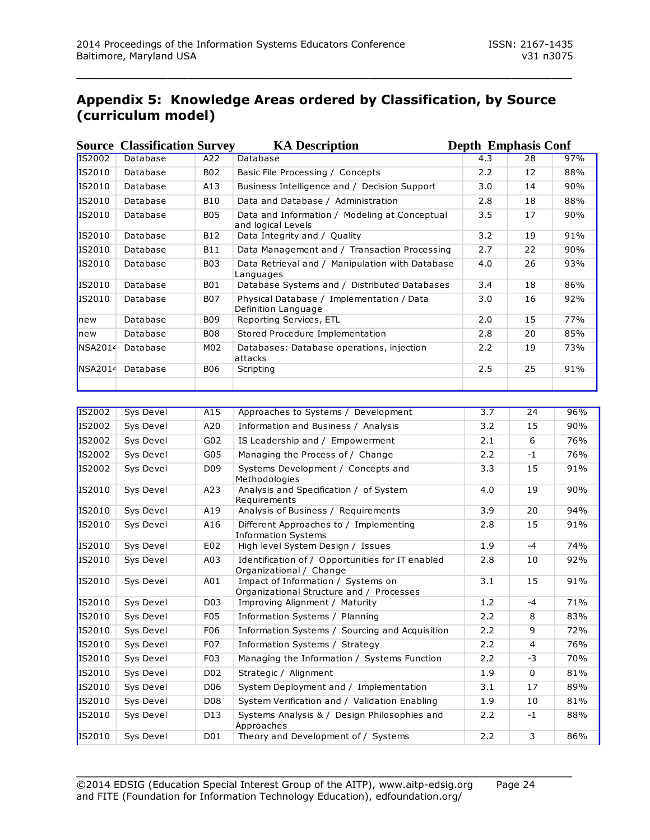### **Appendix 5: Knowledge Areas ordered by Classification, by Source (curriculum model)**

\_\_\_\_\_\_\_\_\_\_\_\_\_\_\_\_\_\_\_\_\_\_\_\_\_\_\_\_\_\_\_\_\_\_\_\_\_\_\_\_\_\_\_\_\_\_\_\_\_

|                | <b>Source Classification Survey</b> |                 | <b>KA Description</b>                                               |     | <b>Depth Emphasis Conf</b> |     |  |  |
|----------------|-------------------------------------|-----------------|---------------------------------------------------------------------|-----|----------------------------|-----|--|--|
| IS2002         | Database                            | A22             | Database                                                            | 4.3 | 28                         | 97% |  |  |
| IS2010         | Database                            | B <sub>02</sub> | Basic File Processing / Concepts                                    | 2.2 | 12                         | 88% |  |  |
| IS2010         | Database                            | A13             | Business Intelligence and / Decision Support                        | 3.0 | 14                         | 90% |  |  |
| IS2010         | Database                            | <b>B10</b>      | Data and Database / Administration                                  | 2.8 | 18                         | 88% |  |  |
| IS2010         | Database                            | <b>B05</b>      | Data and Information / Modeling at Conceptual<br>and logical Levels | 3.5 | 17                         | 90% |  |  |
| IS2010         | Database                            | <b>B12</b>      | Data Integrity and / Quality                                        | 3.2 | 19                         | 91% |  |  |
| IS2010         | Database                            | <b>B11</b>      | Data Management and / Transaction Processing                        | 2.7 | 22                         | 90% |  |  |
| IS2010         | Database                            | <b>B03</b>      | Data Retrieval and / Manipulation with Database<br>Languages        | 4.0 | 26                         | 93% |  |  |
| IS2010         | Database                            | <b>B01</b>      | Database Systems and / Distributed Databases                        | 3.4 | 18                         | 86% |  |  |
| IS2010         | Database                            | B07             | Physical Database / Implementation / Data<br>Definition Language    | 3.0 | 16                         | 92% |  |  |
| lnew           | Database                            | <b>B09</b>      | Reporting Services, ETL                                             | 2.0 | 15                         | 77% |  |  |
| lnew           | Database                            | <b>B08</b>      | Stored Procedure Implementation                                     | 2.8 | 20                         | 85% |  |  |
| <b>NSA2014</b> | Database                            | M02             | Databases: Database operations, injection<br>attacks                | 2.2 | 19                         | 73% |  |  |
| NSA2014        | Database                            | <b>B06</b>      | Scripting                                                           | 2.5 | 25                         | 91% |  |  |
|                |                                     |                 |                                                                     |     |                            |     |  |  |

| <b>IS2002</b> | Sys Devel | A15              | Approaches to Systems / Development                                            | $\overline{3.7}$ | 24             | 96% |
|---------------|-----------|------------------|--------------------------------------------------------------------------------|------------------|----------------|-----|
| IS2002        | Sys Devel | A20              | Information and Business / Analysis                                            | 3.2              | 15             | 90% |
| IS2002        | Sys Devel | G02              | IS Leadership and / Empowerment                                                | 2.1              | 6              | 76% |
| IS2002        | Sys Devel | G05              | Managing the Process of / Change                                               | 2.2              | $-1$           | 76% |
| IS2002        | Sys Devel | D <sub>09</sub>  | Systems Development / Concepts and<br>Methodologies                            | 3.3              | 15             | 91% |
| IS2010        | Sys Devel | A23              | Analysis and Specification / of System<br>Requirements                         | 4.0              | 19             | 90% |
| IS2010        | Sys Devel | A19              | Analysis of Business / Requirements                                            | 3.9              | 20             | 94% |
| IS2010        | Sys Devel | A16              | Different Approaches to / Implementing<br><b>Information Systems</b>           | 2.8              | 15             | 91% |
| IS2010        | Sys Devel | E02              | High level System Design / Issues                                              | 1.9              | $-4$           | 74% |
| IS2010        | Sys Devel | A03              | Identification of / Opportunities for IT enabled<br>Organizational / Change    | 2.8              | 10             | 92% |
| IS2010        | Sys Devel | A01              | Impact of Information / Systems on<br>Organizational Structure and / Processes | 3.1              | 15             | 91% |
| IS2010        | Sys Devel | D <sub>0</sub> 3 | Improving Alignment / Maturity                                                 | 1.2              | $-4$           | 71% |
| IS2010        | Sys Devel | F <sub>0</sub> 5 | Information Systems / Planning                                                 | 2.2              | 8              | 83% |
| IS2010        | Sys Devel | F06              | Information Systems / Sourcing and Acquisition                                 | 2.2              | 9              | 72% |
| IS2010        | Sys Devel | F <sub>0</sub> 7 | Information Systems / Strategy                                                 | 2.2              | $\overline{4}$ | 76% |
| IS2010        | Sys Devel | F <sub>0</sub> 3 | Managing the Information / Systems Function                                    | 2.2              | $-3$           | 70% |
| IS2010        | Sys Devel | D <sub>0</sub> 2 | Strategic / Alignment                                                          | 1.9              | $\Omega$       | 81% |
| IS2010        | Sys Devel | D <sub>06</sub>  | System Deployment and / Implementation                                         | 3.1              | 17             | 89% |
| IS2010        | Sys Devel | D <sub>08</sub>  | System Verification and / Validation Enabling                                  | 1.9              | 10             | 81% |
| IS2010        | Sys Devel | D <sub>13</sub>  | Systems Analysis & / Design Philosophies and<br>Approaches                     | 2.2              | $-1$           | 88% |
| IS2010        | Sys Devel | D01              | Theory and Development of / Systems                                            | 2.2              | 3              | 86% |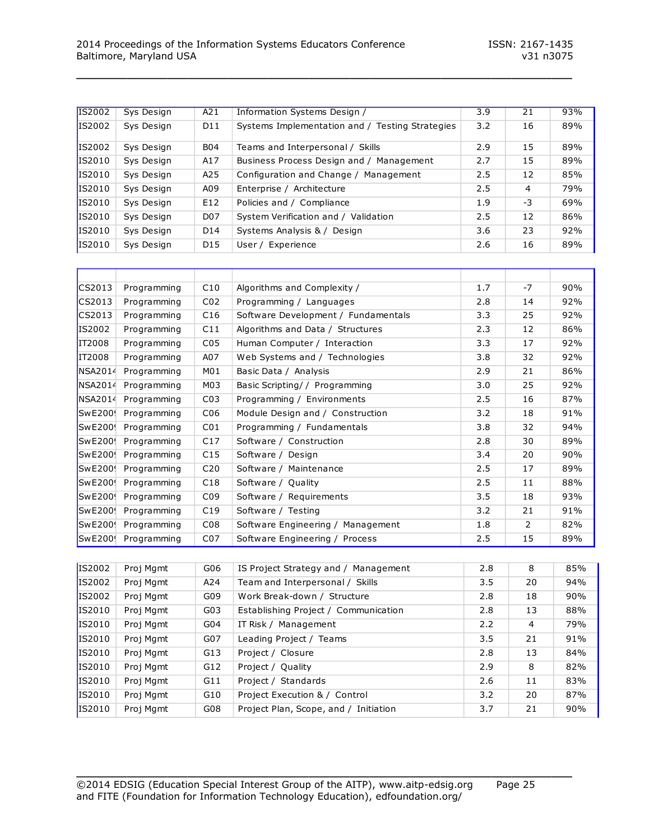| <b>IS2002</b> | Sys Design | A21              | Information Systems Design /                    | 3.9 | 21   | 93% |
|---------------|------------|------------------|-------------------------------------------------|-----|------|-----|
| IS2002        | Sys Design | D <sub>11</sub>  | Systems Implementation and / Testing Strategies | 3.2 | 16   | 89% |
| IS2002        | Sys Design | <b>B04</b>       | Teams and Interpersonal / Skills                | 2.9 | 15   | 89% |
| IS2010        | Sys Design | A17              | Business Process Design and / Management        | 2.7 | 15   | 89% |
| IS2010        | Sys Design | A25              | Configuration and Change / Management           | 2.5 | 12   | 85% |
| IS2010        | Sys Design | A09              | Enterprise / Architecture                       | 2.5 | 4    | 79% |
| IS2010        | Sys Design | E12              | Policies and / Compliance                       | 1.9 | $-3$ | 69% |
| IS2010        | Sys Design | D <sub>0</sub> 7 | System Verification and / Validation            | 2.5 | 12   | 86% |
| IS2010        | Sys Design | D <sub>14</sub>  | Systems Analysis & / Design                     | 3.6 | 23   | 92% |
| IS2010        | Sys Design | D <sub>15</sub>  | User / Experience                               | 2.6 | 16   | 89% |

| CS2013         | Programming | C10             | Algorithms and Complexity /         | 1.7 | $-7$ | 90% |
|----------------|-------------|-----------------|-------------------------------------|-----|------|-----|
| CS2013         | Programming | CO <sub>2</sub> | Programming / Languages             | 2.8 | 14   | 92% |
| CS2013         | Programming | C16             | Software Development / Fundamentals | 3.3 | 25   | 92% |
| IS2002         | Programming | C11             | Algorithms and Data / Structures    | 2.3 | 12   | 86% |
| IT2008         | Programming | C <sub>05</sub> | Human Computer / Interaction        | 3.3 | 17   | 92% |
| IT2008         | Programming | A07             | Web Systems and / Technologies      | 3.8 | 32   | 92% |
| <b>NSA2014</b> | Programming | M01             | Basic Data / Analysis               | 2.9 | 21   | 86% |
| NSA2014        | Programming | M03             | Basic Scripting/ / Programming      | 3.0 | 25   | 92% |
| NSA2014        | Programming | CO <sub>3</sub> | Programming / Environments          | 2.5 | 16   | 87% |
| <b>SwE200</b>  | Programming | C <sub>06</sub> | Module Design and / Construction    | 3.2 | 18   | 91% |
| <b>SwE200</b>  | Programming | C <sub>01</sub> | Programming / Fundamentals          | 3.8 | 32   | 94% |
| <b>SwE200</b>  | Programming | C17             | Software / Construction             | 2.8 | 30   | 89% |
| <b>SwE200</b>  | Programming | C15             | Software / Design                   | 3.4 | 20   | 90% |
| <b>SwE200</b>  | Programming | C <sub>20</sub> | Software / Maintenance              | 2.5 | 17   | 89% |
| <b>SwE200</b>  | Programming | C18             | Software / Quality                  | 2.5 | 11   | 88% |
| <b>SwE200</b>  | Programming | C <sub>09</sub> | Software / Requirements             | 3.5 | 18   | 93% |
| <b>SwE200</b>  | Programming | C19             | Software / Testing                  | 3.2 | 21   | 91% |
| <b>SwE200</b>  | Programming | C <sub>08</sub> | Software Engineering / Management   | 1.8 | 2    | 82% |
| <b>SwE200!</b> | Programming | CO <sub>7</sub> | Software Engineering / Process      | 2.5 | 15   | 89% |

| IS2002 | Proj Mgmt | G06             | IS Project Strategy and / Management  | 2.8 | 8  | 85% |
|--------|-----------|-----------------|---------------------------------------|-----|----|-----|
| IS2002 | Proj Mgmt | A24             | Team and Interpersonal / Skills       | 3.5 | 20 | 94% |
| IS2002 | Proj Mgmt | G09             | Work Break-down / Structure           | 2.8 | 18 | 90% |
| IS2010 | Proj Mgmt | G03             | Establishing Project / Communication  | 2.8 | 13 | 88% |
| IS2010 | Proj Mgmt | G <sub>04</sub> | IT Risk / Management                  | 2.2 | 4  | 79% |
| IS2010 | Proj Mgmt | G07             | Leading Project / Teams               | 3.5 | 21 | 91% |
| IS2010 | Proj Mgmt | G13             | Project / Closure                     | 2.8 | 13 | 84% |
| IS2010 | Proj Mgmt | G12             | Project / Quality                     | 2.9 | 8  | 82% |
| IS2010 | Proj Mgmt | G11             | Project / Standards                   | 2.6 | 11 | 83% |
| IS2010 | Proj Mgmt | G10             | Project Execution & / Control         | 3.2 | 20 | 87% |
| IS2010 | Proj Mgmt | G08             | Project Plan, Scope, and / Initiation | 3.7 | 21 | 90% |
|        |           |                 |                                       |     |    |     |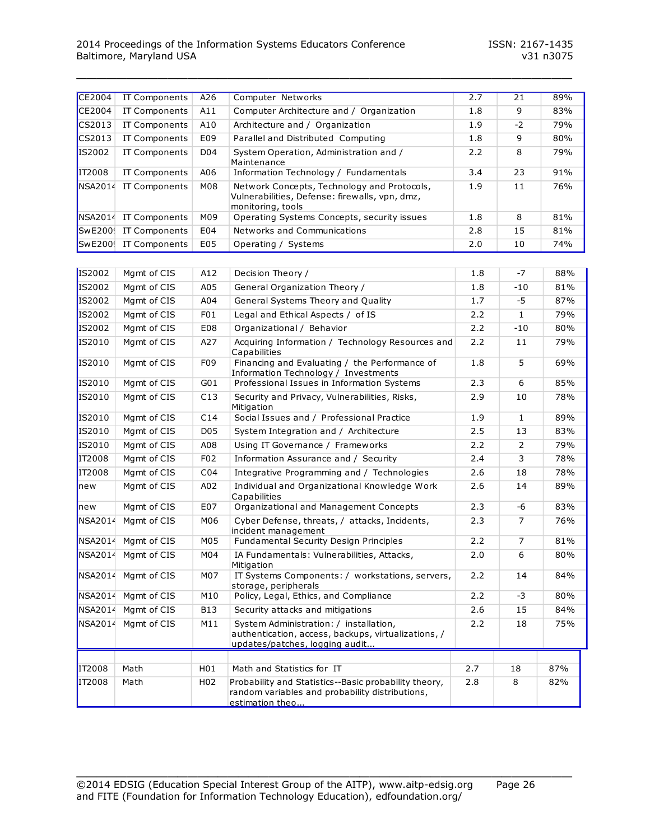| CE2004  | IT Components         | A26              | Computer Networks                                                                                                               | 2.7        | 21             | 89% |  |  |  |  |
|---------|-----------------------|------------------|---------------------------------------------------------------------------------------------------------------------------------|------------|----------------|-----|--|--|--|--|
| CE2004  | <b>IT Components</b>  | A11              | Computer Architecture and / Organization                                                                                        | 1.8        | 9              | 83% |  |  |  |  |
| CS2013  | IT Components         | A10              | Architecture and / Organization                                                                                                 | 1.9        | $-2$           | 79% |  |  |  |  |
| CS2013  | IT Components         | E09              | Parallel and Distributed Computing                                                                                              | 1.8        | 9              | 80% |  |  |  |  |
| IS2002  | IT Components         | D04              | System Operation, Administration and /<br>Maintenance                                                                           | 2.2        | 8              | 79% |  |  |  |  |
| IT2008  | IT Components         | A06              | 23<br>Information Technology / Fundamentals<br>3.4                                                                              |            |                |     |  |  |  |  |
| NSA2014 | IT Components         | M08              | Network Concepts, Technology and Protocols,<br>Vulnerabilities, Defense: firewalls, vpn, dmz,<br>monitoring, tools              | 1.9        | 11             | 76% |  |  |  |  |
|         | NSA2014 IT Components | M09              | Operating Systems Concepts, security issues                                                                                     | 1.8<br>8   |                |     |  |  |  |  |
| SwE200! | IT Components         | E04              | Networks and Communications                                                                                                     | 2.8        | 15             | 81% |  |  |  |  |
|         | SwE200! IT Components | E05              | Operating / Systems                                                                                                             | 2.0        | 10             | 74% |  |  |  |  |
|         |                       |                  |                                                                                                                                 |            |                |     |  |  |  |  |
| IS2002  | Mgmt of CIS           | A12              | Decision Theory /                                                                                                               | 1.8        | $-7$           | 88% |  |  |  |  |
| IS2002  | Mgmt of CIS           | A05              | General Organization Theory /                                                                                                   | 1.8        | $-10$          | 81% |  |  |  |  |
| IS2002  | Mgmt of CIS           | A04              | General Systems Theory and Quality                                                                                              | 1.7        | $-5$           | 87% |  |  |  |  |
| IS2002  | Mgmt of CIS           | F <sub>0</sub> 1 | Legal and Ethical Aspects / of IS                                                                                               | 2.2        | $\mathbf{1}$   | 79% |  |  |  |  |
| IS2002  | Mgmt of CIS           | E08              | Organizational / Behavior                                                                                                       | 2.2        | $-10$          | 80% |  |  |  |  |
| IS2010  | Mgmt of CIS           | A27              | Acquiring Information / Technology Resources and<br>Capabilities                                                                | 2.2        | 11             | 79% |  |  |  |  |
| IS2010  | Mgmt of CIS           | F09              | Financing and Evaluating / the Performance of<br>Information Technology / Investments                                           | 1.8        | 5              | 69% |  |  |  |  |
| IS2010  | Mgmt of CIS           | G01              | Professional Issues in Information Systems                                                                                      | 2.3        | 6              | 85% |  |  |  |  |
| IS2010  | Mgmt of CIS           | C13              | Security and Privacy, Vulnerabilities, Risks,<br>Mitigation                                                                     | 2.9        | 10             | 78% |  |  |  |  |
| IS2010  | Mgmt of CIS           | C14              | Social Issues and / Professional Practice                                                                                       | 1.9        | $\mathbf{1}$   | 89% |  |  |  |  |
| IS2010  | Mgmt of CIS           | D05              | System Integration and / Architecture                                                                                           | 2.5        | 13             | 83% |  |  |  |  |
| IS2010  | Mgmt of CIS           | A08              | Using IT Governance / Frameworks                                                                                                | 2.2        | $\overline{2}$ | 79% |  |  |  |  |
| IT2008  | Mgmt of CIS           | F02              | Information Assurance and / Security                                                                                            | 2.4        | 3              | 78% |  |  |  |  |
| IT2008  | Mgmt of CIS           | CO <sub>4</sub>  | Integrative Programming and / Technologies                                                                                      | 2.6        | 18             | 78% |  |  |  |  |
| new     | Mgmt of CIS           | A02              | Individual and Organizational Knowledge Work<br>Capabilities                                                                    | 2.6        | 14             | 89% |  |  |  |  |
| new     | Mgmt of CIS           | E07              | Organizational and Management Concepts                                                                                          | 2.3        | -6             | 83% |  |  |  |  |
| NSA2014 | Mgmt of CIS           | M06              | Cyber Defense, threats, / attacks, Incidents,<br>incident management                                                            | 2.3        | $\overline{7}$ | 76% |  |  |  |  |
| NSA2014 | Mgmt of CIS           | M05              | Fundamental Security Design Principles                                                                                          | 2.2        | $\overline{7}$ | 81% |  |  |  |  |
| NSA2014 | Mgmt of CIS           | M04              | IA Fundamentals: Vulnerabilities, Attacks,<br>Mitigation                                                                        | 2.0        | 6              | 80% |  |  |  |  |
| NSA2014 | Mgmt of CIS           | M07              | IT Systems Components: / workstations, servers,<br>storage, peripherals                                                         | 2.2        | 14             | 84% |  |  |  |  |
| NSA2014 | Mgmt of CIS           | M10              | Policy, Legal, Ethics, and Compliance                                                                                           | 2.2<br>2.6 | $-3$           | 80% |  |  |  |  |
| NSA2014 | Mgmt of CIS           | <b>B13</b>       | Security attacks and mitigations                                                                                                | 15         | 84%            |     |  |  |  |  |
| NSA2014 | Mgmt of CIS           | M11              | System Administration: / installation,<br>authentication, access, backups, virtualizations, /<br>updates/patches, logging audit | 2.2        | 18             | 75% |  |  |  |  |
|         |                       |                  |                                                                                                                                 |            |                |     |  |  |  |  |
| IT2008  | Math                  | H01              | Math and Statistics for IT                                                                                                      | 2.7        | 18             | 87% |  |  |  |  |
| IT2008  | Math                  | H02              | Probability and Statistics--Basic probability theory,<br>random variables and probability distributions,<br>estimation theo     | 2.8        | 8              | 82% |  |  |  |  |